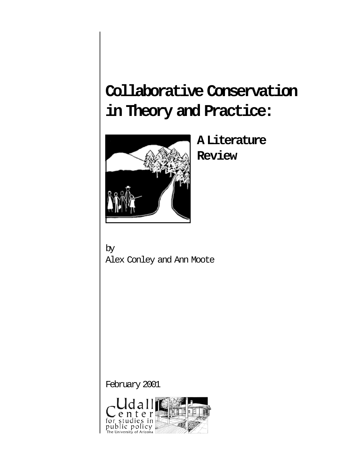# **Collaborative Conservation in Theory and Practice:**



**A Literature Review**

by Alex Conley and Ann Moote

February 2001

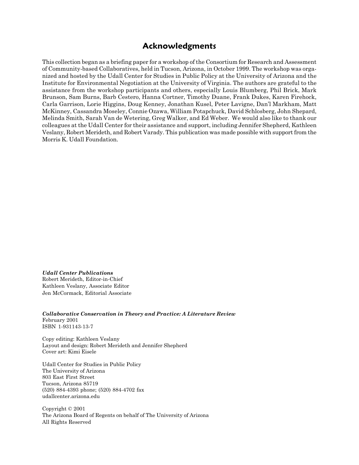## **Acknowledgments**

This collection began as a briefing paper for a workshop of the Consortium for Research and Assessment of Community-based Collaboratives, held in Tucson, Arizona, in October 1999. The workshop was organized and hosted by the Udall Center for Studies in Public Policy at the University of Arizona and the Institute for Environmental Negotiation at the University of Virginia. The authors are grateful to the assistance from the workshop participants and others, especially Louis Blumberg, Phil Brick, Mark Brunson, Sam Burns, Barb Cestero, Hanna Cortner, Timothy Duane, Frank Dukes, Karen Firehock, Carla Garrison, Lorie Higgins, Doug Kenney, Jonathan Kusel, Peter Lavigne, Dan'l Markham, Matt McKinney, Cassandra Moseley, Connie Ozawa, William Potapchuck, David Schlosberg, John Shepard, Melinda Smith, Sarah Van de Wetering, Greg Walker, and Ed Weber. We would also like to thank our colleagues at the Udall Center for their assistance and support, including Jennifer Shepherd, Kathleen Veslany, Robert Merideth, and Robert Varady. This publication was made possible with support from the Morris K. Udall Foundation.

*Udall Center Publications*

Robert Merideth, Editor-in-Chief Kathleen Veslany, Associate Editor Jen McCormack, Editorial Associate

*Collaborative Conservation in Theory and Practice: A Literature Review* February 2001 ISBN 1-931143-13-7

Copy editing: Kathleen Veslany Layout and design: Robert Merideth and Jennifer Shepherd Cover art: Kimi Eisele

Udall Center for Studies in Public Policy The University of Arizona 803 East First Street Tucson, Arizona 85719 (520) 884-4393 phone; (520) 884-4702 fax udallcenter.arizona.edu

Copyright © 2001 The Arizona Board of Regents on behalf of The University of Arizona All Rights Reserved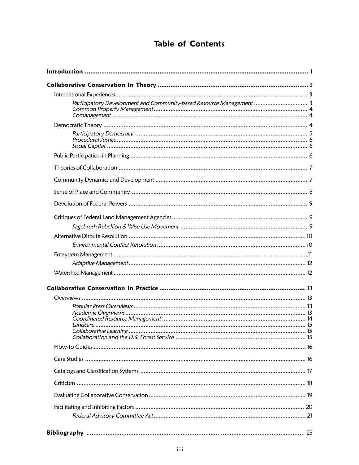# **Table of Contents**

| Participatory Development and Community-based Resource Management  3 |  |
|----------------------------------------------------------------------|--|
|                                                                      |  |
|                                                                      |  |
|                                                                      |  |
|                                                                      |  |
|                                                                      |  |
|                                                                      |  |
|                                                                      |  |
|                                                                      |  |
|                                                                      |  |
|                                                                      |  |
|                                                                      |  |
|                                                                      |  |
|                                                                      |  |
|                                                                      |  |
|                                                                      |  |
|                                                                      |  |
|                                                                      |  |
|                                                                      |  |
|                                                                      |  |
|                                                                      |  |
|                                                                      |  |
|                                                                      |  |
|                                                                      |  |
|                                                                      |  |
|                                                                      |  |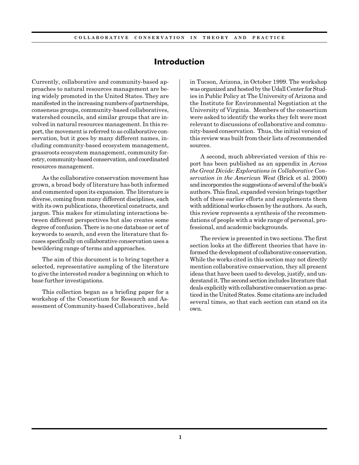## **Introduction**

Currently, collaborative and community-based approaches to natural resources management are being widely promoted in the United States. They are manifested in the increasing numbers of partnerships, consensus groups, community-based collaboratives, watershed councils, and similar groups that are involved in natural resources management. In this report, the movement is referred to as collaborative conservation, but it goes by many different names, including community-based ecosystem management, grassroots ecosystem management, community forestry, community-based conservation, and coordinated resources management.

As the collaborative conservation movement has grown, a broad body of literature has both informed and commented upon its expansion. The literature is diverse, coming from many different disciplines, each with its own publications, theoretical constructs, and jargon. This makes for stimulating interactions between different perspectives but also creates some degree of confusion. There is no one database or set of keywords to search, and even the literature that focuses specifically on collaborative conservation uses a bewildering range of terms and approaches.

The aim of this document is to bring together a selected, representative sampling of the literature to give the interested reader a beginning on which to base further investigations.

This collection began as a briefing paper for a workshop of the Consortium for Research and Assessment of Community-based Collaboratives , held in Tucson, Arizona, in October 1999. The workshop was organized and hosted by the Udall Center for Studies in Public Policy at The University of Arizona and the Institute for Environmental Negotiation at the University of Virginia. Members of the consortium were asked to identify the works they felt were most relevant to discussions of collaborative and community-based conservation. Thus, the initial version of this review was built from their lists of recommended sources.

A second, much abbreviated version of this report has been published as an appendix in *Across the Great Divide: Explorations in Collaborative Conservation in the American West* (Brick et al. 2000) and incorporates the suggestions of several of the book's authors. This final, expanded version brings together both of these earlier efforts and supplements them with additional works chosen by the authors. As such, this review represents a synthesis of the recommendations of people with a wide range of personal, professional, and academic backgrounds.

The review is presented in two sections. The first section looks at the different theories that have informed the development of collaborative conservation. While the works cited in this section may not directly mention collaborative conservation, they all present ideas that have been used to develop, justify, and understand it. The second section includes literature that deals explicitly with collaborative conservation as practiced in the United States. Some citations are included several times, so that each section can stand on its own.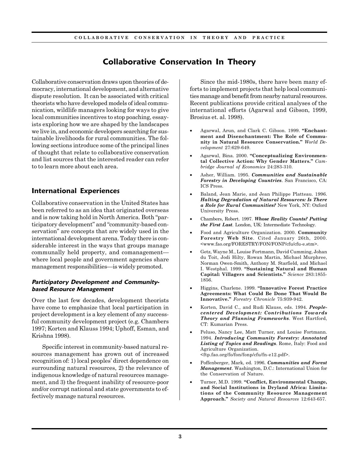# **Collaborative Conservation In Theory**

Collaborative conservation draws upon theories of democracy, international development, and alternative dispute resolution. It can be associated with critical theorists who have developed models of ideal communication, wildlife managers looking for ways to give local communities incentives to stop poaching, essayists exploring how we are shaped by the landscapes we live in, and economic developers searching for sustainable livelihoods for rural communities. The following sections introduce some of the principal lines of thought that relate to collaborative conservation and list sources that the interested reader can refer to to learn more about each area.

## **International Experiences**

Collaborative conservation in the United States has been referred to as an idea that originated overseas and is now taking hold in North America. Both "participatory development" and "community-based conservation" are concepts that are widely used in the international development arena. Today there is considerable interest in the ways that groups manage communally held property, and comanagement where local people and government agencies share management responsibilities—is widely promoted.

#### **Participatory Development and Communitybased Resource Management**

Over the last few decades, development theorists have come to emphasize that local participation in project development is a key element of any successful community development project (e.g. Chambers 1997; Korten and Klauss 1994; Uphoff, Esman, and Krishna 1998).

Specific interest in community-based natural resources management has grown out of increased recognition of: 1) local peoples' direct dependence on surrounding natural resources, 2) the relevance of indigenous knowledge of natural resources management, and 3) the frequent inability of resource-poor and/or corrupt national and state governments to effectively manage natural resources.

Since the mid-1980s, there have been many efforts to implement projects that help local communities manage and benefit from nearby natural resources. Recent publications provide critical analyses of the international efforts (Agarwal and Gibson, 1999, Brosius et. al. 1998).

- Agarwal, Arun, and Clark C. Gibson. 1999. **"Enchantment and Disenchantment: The Role of Community in Natural Resource Conservation."** *World Development* 27:629-649.
- Agarwal, Bina. 2000. **"Conceptualizing Environmental Collective Action: Why Gender Matters."** *Cambridge Journal of Economics* 24:283-310.
- Asher, William. 1995. *Communities and Sustainable Forestry in Developing Countries*. San Francisco, CA: ICS Press.
- Baland, Jean Marie, and Jean Philippe Platteau. 1996. *Halting Degradation of Natural Resources: Is There a Role for Rural Communities?* New York, NY: Oxford University Press.
- Chambers, Robert. 1997. *Whose Reality Counts? Putting the First Last*. London, UK: Intermediate Technology.
- Food and Agriculture Organization. 2000. **Community Forestry Web Site**. Cited January 26th, 2000. <www.fao.org/FORESTRY/FON/FONP/cfu/cfu-e.stm>.
- Getz, Wayne M., Louise Fortmann, David Cumming, Johan du Toit, Jodi Hilty, Rowan Martin, Michael Murphree, Norman Owen-Smith, Anthony M. Starfield, and Michael I. Westphal. 1999. **"Sustaining Natural and Human Capital: Villagers and Scientists."** *Science* 283:1855- 1856.
- Higgins, Charlene. 1999. **"Innovative Forest Practice Agreements: What Could Be Done That Would Be Innovative."** *Forestry Chronicle* 75:939-942.
- Korten, David C., and Rudi Klauss, eds. 1994. *Peoplecentered Development: Contributions Towards Theory and Planning Frameworks*. West Hartford, CT: Kumarian Press.
- Peluso, Nancy Lee, Matt Turner, and Louise Fortmann. 1994. *Introducing Community Forestry: Annotated Listing of Topics and Readings*. Rome, Italy: Food and Agriculture Organization. <ftp.fao.org/fo/fon/fonp/cfu/fn-e12.pdf>.
- Poffenberger, Mark, ed. 1996. *Communities and Forest Management*. Washington, D.C.: International Union for the Conservation of Nature.
- Turner, M.D. 1999. **"Conflict, Environmental Change, and Social Institutions in Dryland Africa: Limitations of the Community Resource Management Approach."** *Society and Natural Resources* 12:643-657.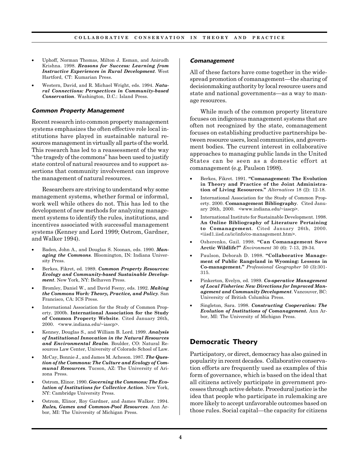- Uphoff, Norman Thomas, Milton J. Esman, and Anirudh Krishna. 1998. *Reasons for Success: Learning from Instructive Experiences in Rural Development*. West Hartford, CT: Kumarian Press.
- Western, David, and R. Michael Wright, eds. 1994. *Natural Connections: Perspectives in Community-based Conservation*. Washington, D.C.: Island Press.

#### **Common Property Management**

Recent research into common property management systems emphasizes the often effective role local institutions have played in sustainable natural resources management in virtually all parts of the world*.* This research has led to a reassessment of the way "the tragedy of the commons" has been used to justify state control of natural resources and to support assertions that community involvement can improve the management of natural resources.

Researchers are striving to understand why some management systems, whether formal or informal, work well while others do not. This has led to the development of new methods for analyzing management systems to identify the rules, institutions, and incentives associated with successful management systems (Kenney and Lord 1999; Ostrom, Gardner, and Walker 1994).

- Baden, John A., and Douglas S. Noonan, eds. 1990. *Managing the Commons*. Bloomington, IN: Indiana University Press.
- Berkes, Fikret, ed. 1989. *Common Property Resources: Ecology and Community-based Sustainable Development*. New York, NY: Belhaven Press.
- Bromley, Daniel W., and David Feeny, eds. 1992. *Making the Commons Work: Theory, Practice, and Policy*. San Francisco, CA: ICS Press.
- International Association for the Study of Common Property. 2000b. **International Association for the Study of Common Property Website***.* Cited January 26th, 2000. <www.indiana.edu/~iascp>.
- Kenney, Douglas S., and William B. Lord. 1999. *Analysis of Institutional Innovation in the Natural Resources and Environmental Realm*. Boulder, CO: Natural Resources Law Center, University of Colorado School of Law.
- McCay, Bonnie J., and James M. Acheson. 1987. *The Question of the Commons: The Culture and Ecology of Communal Resources*. Tucson, AZ: The University of Arizona Press.
- Ostrom, Elinor. 1990. *Governing the Commons: The Evolution of Institutions for Collective Action*. New York, NY: Cambridge University Press.
- Ostrom, Elinor, Roy Gardner, and James Walker. 1994. *Rules, Games and Common-Pool Resources*. Ann Arbor, MI: The University of Michigan Press.

#### **Comanagement**

All of these factors have come together in the widespread promotion of comanagement—the sharing of decisionmaking authority by local resource users and state and national governments—as a way to manage resources.

While much of the common property literature focuses on indigenous management systems that are often not recognized by the state, comanagement focuses on establishing productive partnerships between resource users, local communities, and government bodies. The current interest in collaborative approaches to managing public lands in the United States can be seen as a domestic effort at comanagement (e.g. Paulson 1998).

- Berkes, Fikret. 1991. **"Comanagement: The Evolution in Theory and Practice of the Joint Administration of Living Resources."** *Alternatives* 18 (2): 12-18.
- International Association for the Study of Common Property. 2000. **Comanagement Bibliography***.* Cited January 26th, 2000. <www.indiana.edu/~iascp>.
- International Institute for Sustainable Development. 1998. **An Online Bibliography of Literature Pertaining to Comanagement***.* Cited January 26th, 2000. <iisd1.iisd.ca/ic/info/co-management.htm>.
- Osherenko, Gail. 1998. **"Can Comanagement Save Arctic Wildlife?"** *Environment* 30 (6): 7-13, 29-34.
- Paulson, Deborah D. 1998. **"Collaborative Management of Public Rangeland in Wyoming: Lessons in Co-management."** *Professional Geographer* 50 (3):301- 315.
- Pinkerton, Evelyn, ed. 1989. *Co-operative Management of Local Fisheries: New Directions for Improved Management and Community Development.* Vancouver, BC: University of British Columbia Press.
- Singleton, Sara. 1998. *Constructing Cooperation: The Evolution of Institutions of Comanagement.* Ann Arbor, MI: The University of Michigan Press.

#### **Democratic Theory**

Participatory, or direct, democracy has also gained in popularity in recent decades. Collaborative conservation efforts are frequently used as examples of this form of governance, which is based on the ideal that all citizens actively participate in government processes through active debate. Procedural justice is the idea that people who participate in rulemaking are more likely to accept unfavorable outcomes based on those rules. Social capital—the capacity for citizens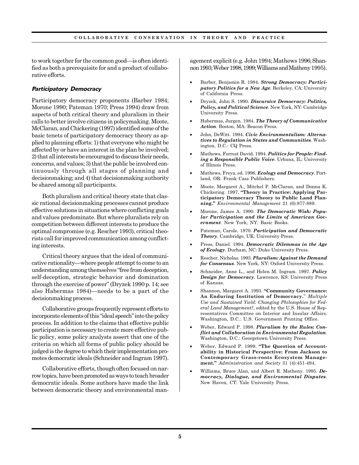to work together for the common good—is often identified as both a prerequisite for and a product of collaborative efforts.

#### **Participatory Democracy**

Participatory democracy proponents (Barber 1984; Morone 1990; Pateman 1970; Press 1994) draw from aspects of both critical theory and pluralism in their calls to better involve citizens in policymaking. Moote, McClaran, and Chickering (1997) identified some of the basic tenets of participatory democracy theory as applied to planning efforts: 1) that everyone who might be affected by or have an interest in the plan be involved; 2) that all interests be encouraged to discuss their needs, concerns, and values; 3) that the public be involved continuously through all stages of planning and decisionmaking; and 4) that decisionmaking authority be shared among all participants.

Both pluralism and critical theory state that classic rational decisionmaking processes cannot produce effective solutions in situations where conflicting goals and values predominate. But where pluralists rely on competition between different interests to produce the optimal compromise (e.g. Rescher 1993), critical theorists call for improved communication among conflicting interests.

Critical theory argues that the ideal of communicative rationality—where people attempt to come to an understanding among themselves "free from deception, self-deception, strategic behavior and domination through the exercise of power" (Dryzek 1990 p. 14; see also Habermas 1984)—needs to be a part of the decisionmaking process.

Collaborative groups frequently represent efforts to incorporate elements of this "ideal speech" into the policy process. In addition to the claims that effective public participation is necessary to create more effective public policy, some policy analysts assert that one of the criteria on which all forms of public policy should be judged is the degree to which their implementation promotes democratic ideals (Schneider and Ingram 1997).

Collaborative efforts, though often focused on narrow topics, have been promoted as ways to teach broader democratic ideals. Some authors have made the link between democratic theory and environmental management explicit (e.g. John 1994; Mathews 1996; Shannon 1993; Weber 1998, 1999; Williams and Matheny 1995).

- Barber, Benjamin R. 1984. *Strong Democracy: Participatory Politics for a New Age*. Berkeley, CA: University of California Press.
- Dryzek, John S. 1990. *Discursive Democracy: Politics, Policy, and Political Science*. New York, NY: Cambridge University Press.
- Habermas, Jurgen. 1984. *The Theory of Communicative Action*. Boston, MA: Beacon Press.
- John, DeWitt. 1994. *Civic Environmentalism: Alternatives to Regulation in States and Communities*. Washington, D.C.: CQ Press.
- Mathews, Forrest David. 1994. *Politics for People: Finding a Responsible Public Voice*. Urbana, IL: University of Illinois Press.
- Mathews, Freya, ed. 1996. *Ecology and Democracy*. Portland, OR: Frank Cass Publishers.
- Moote, Margaret A., Mitchel P. McClaran, and Donna K. Chickering. 1997. **"Theory in Practice: Applying Participatory Democracy Theory to Public Land Planning."** *Environmental Management* 21 (6):877-889.
- Morone, James A. 1990. *The Democratic Wish: Popular Participation and the Limits of American Government*. New York, NY: Basic Books.
- Pateman, Carole. 1970. *Participation and Democratic Theory*. Cambridge, UK: University Press.
- Press, Daniel. 1994. *Democratic Dilemmas in the Age of Ecology*. Durham, NC: Duke University Press.
- Rescher, Nicholas. 1993. *Pluralism: Against the Demand for Consensus*. New York, NY: Oxford University Press.
- Schneider, Anne L., and Helen M. Ingram. 1997. *Policy Design for Democracy*. Lawrence, KS: University Press of Kansas.
- Shannon, Margaret A. 1993. **"Community Governance: An Enduring Institution of Democracy.**" *Multiple Use and Sustained Yield: Changing Philosophies for Federal Land Management?*, edited by the U.S. House of Representatives Committee on Interior and Insular Affairs. Washington, D.C.: U.S. Government Printing Office.
- Weber, Edward P. 1998. *Pluralism by the Rules: Conflict and Collaboration in Environmental Regulation*. Washington, D.C.: Georgetown University Press.
- Weber, Edward P. 1999. **"The Question of Accountability in Historical Perspective: From Jackson to Contemporary Grass-roots Ecosystem Management."** *Administration and Society* 31 (4):451-494.
- Williams, Bruce Alan, and Albert R. Matheny. 1995. *Democracy, Dialogue, and Environmental Disputes*. New Haven, CT: Yale University Press.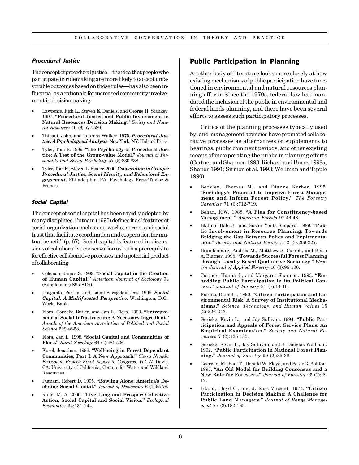#### **Procedural Justice**

The concept of procedural justice—the idea that people who participate in rulemaking are more likely to accept unfavorable outcomes based on those rules—has also been influential as a rationale for increased community involvement in decisionmaking.

- Lawrence, Rick L., Steven E. Daniels, and George H. Stankey. 1997. **"Procedural Justice and Public Involvement in Natural Resources Decision Making."** *Society and Natural Resources* 10 (6):577-589.
- Thibaut, John, and Laurens Walker. 1975. *Procedural Justice: A Psychological Analysis*. New York, NY: Halsted Press.
- Tyler, Tom R. 1989. **"The Psychology of Procedural Justice: A Test of the Group-value Model."** *Journal of Personality and Social Psychology* 57 (5):830-838.
- Tyler, Tom R., Steven L. Blader. 2000. *Cooperation in Groups: Procedural Justice, Social Identity, and Behavioral Engagement***.** Philadelphia, PA: Psychology Press/Taylor & Francis.

#### **Social Capital**

The concept of social capital has been rapidly adopted by many disciplines. Putnam (1995) defines it as "features of social organization such as networks, norms, and social trust that facilitate coordination and cooperation for mutual benefit" (p. 67). Social capital is featured in discussions of collaborative conservation as both a prerequisite for effective collaborative processes and a potential product of collaborating.

- Coleman, James S. 1988. **"Social Capital in the Creation of Human Capital."** *American Journal of Sociology* 94 (Supplement):S95-S120.
- Dasgupta, Partha, and Ismail Serageldin, eds. 1999. *Social Capital: A Multifaceted Perspective*. Washington, D.C.: World Bank.
- Flora, Cornelia Butler, and Jan L. Flora. 1993. **"Entrepreneurial Social Infrastructure: A Necessary Ingredient."** *Annals of the American Association of Political and Social Science* 529:48-58.
- Flora, Jan L. 1998. **"Social Capital and Communities of Place."** *Rural Sociology* 64 (4):481-506.
- Kusel, Jonathan. 1996. **"Well-being in Forest Dependant Communities, Part I: A New Approach."** *Sierra Nevada Ecosystem Project: Final Report to Congress, Vol. II*. Davis, CA: University of California, Centers for Water and Wildland Resources.
- Putnam, Robert D. 1995. **"Bowling Alone: America's Declining Social Capital."** *Journal of Democracy* 6 (1):65-78.
- Rudd, M. A. 2000. **"Live Long and Prosper: Collective Action, Social Capital and Social Vision."** *Ecological Economics* 34:131-144.

## **Public Participation in Planning**

Another body of literature looks more closely at how existing mechanisms of public participation have functioned in environmental and natural resources planning efforts. Since the 1970s, federal law has mandated the inclusion of the public in environmental and federal lands planning, and there have been several efforts to assess such participatory processes.

Critics of the planning processes typically used by land-management agencies have promoted collaborative processes as alternatives or supplements to hearings, public comment periods, and other existing means of incorporating the public in planning efforts (Cortner and Shannon 1993; Richard and Burns 1998a; Shands 1991; Sirmon et al. 1993; Wellman and Tipple 1990).

- Beckley, Thomas M., and Dianne Korber. 1995. **"Sociology's Potential to Improve Forest Management and Inform Forest Policy."** *The Forestry Chronicle* 71 (6):712-719.
- Behan, R.W. 1988. **"A Plea for Constituency-based Management."** *American Forests* 97:46-48.
- Blahna, Dale J., and Susan Yonts-Shepard. 1989. **"Public Involvement in Resource Planning: Towards Bridging the Gap Between Policy and Implementation."** *Society and Natural Resources* 2 (3):209-227.
- Brandenburg, Andrea M., Matthew S. Carroll, and Keith A. Blatner. 1995. **"Towards Successful Forest Planning through Locally Based Qualitative Sociology."** *Western Journal of Applied Forestry* 10 (3):95-100.
- Cortner, Hanna J., and Margaret Shannon. 1993. **"Embedding Public Participation in its Political Context."** *Journal of Forestry* 91 (7):14-16.
- Fiorino, Daniel J. 1990. **"Citizen Participation and Environmental Risk: A Survey of Institutional Mechanisms."** *Science, Technology, and Human Values* 15 (2):226-243.
- Gericke, Kevin L., and Jay Sullivan. 1994. **"Public Participation and Appeals of Forest Service Plans: An Empirical Examination."** *Society and Natural Resources* 7 (2):125-135.
- Gericke, Kevin L., Jay Sullivan, and J. Douglas Wellman. 1992. **"Public Participation in National Forest Planning."** *Journal of Forestry* 90 (2):35-38.
- Goergen, Michael T., Donald W. Floyd, and Peter G. Ashton. 1997. **"An Old Model for Building Consensus and a New Role for Foresters."** *Journal of Forestry* 95 (1): 8- 12.
- Irland, Lloyd C., and J. Ross Vincent. 1974. **"Citizen Participation in Decision Making: A Challenge for Public Land Managers."** *Journal of Range Management* 27 (3):182-185.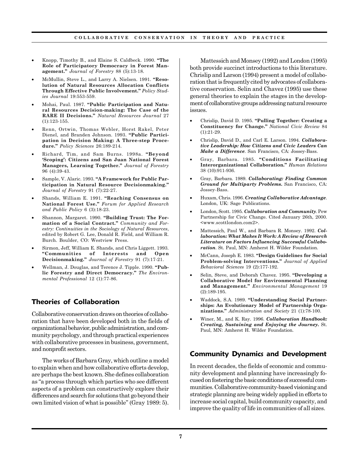- Knopp, Timothy B., and Elaine S. Caldbeck. 1990. **"The Role of Participatory Democracy in Forest Management."** *Journal of Forestry* 88 (5):13-18.
- McMullin, Steve L., and Larry A. Nielsen. 1991. **"Resolution of Natural Resources Allocation Conflicts Through Effective Public Involvement."** *Policy Studies Journal* 19:553-559.
- Mohai, Paul. 1987. **"Public Participation and Natural Resources Decision-making: The Case of the RARE II Decisions."** *Natural Resources Journal* 27 (1):123-155.
- Renn, Ortwin, Thomas Webler, Horst Rakel, Peter Dienel, and Branden Johnson. 1993. **"Public Participation in Decision Making: A Three-step Procedure."** *Policy Sciences* 26:189-214.
- Richard, Tim, and Sam Burns. 1998a. **"Beyond 'Scoping': Citizens and San Juan National Forest Managers, Learning Together."** *Journal of Forestry* 96 (4):39-43.
- Sample, V. Alaric. 1993. **"A Framework for Public Participation in Natural Resource Decisionmaking."** *Journal of Forestry* 91 (7):22-27.
- Shands, William E. 1991. **"Reaching Consensus on National Forest Use."** *Forum for Applied Research and Public Policy* 6 (3):18-23.
- Shannon, Margaret. 1990. **"Building Trust: The Formation of a Social Contract."** *Community and Forestry: Continuities in the Sociology of Natural Resources*, edited by Robert G. Lee, Donald R. Field, and William R. Burch. Boulder, CO: Westview Press.
- Sirmon, Jeff, William E. Shands, and Chris Liggett. 1993. **"Communities of Interests and Open Decisionmaking."** *Journal of Forestry* 91 (7):17-21.
- Wellman, J. Douglas, and Terence J. Tipple. 1990. **"Public Forestry and Direct Democracy."** *The Environmental Professional* 12 (1):77-86.

## **Theories of Collaboration**

Collaborative conservation draws on theories of collaboration that have been developed both in the fields of organizational behavior, public administration, and community psychology, and through practical experiences with collaborative processes in business, government, and nonprofit sectors.

The works of Barbara Gray, which outline a model to explain when and how collaborative efforts develop, are perhaps the best known. She defines collaboration as "a process through which parties who see different aspects of a problem can constructively explore their differences and search for solutions that go beyond their own limited vision of what is possible" (Gray 1989: 5).

Mattessich and Monsey (1992) and London (1995) both provide succinct introductions to this literature. Chrislip and Larson (1994) present a model of collaboration that is frequently cited by advocates of collaborative conservation. Selin and Chavez (1995) use these general theories to explain the stages in the development of collaborative groups addressing natural resource issues.

- Chrislip, David D. 1995. **"Pulling Together: Creating a Constituency for Change."** *National Civic Review* 84 (1):21-29.
- Chrislip, David D., and Carl E. Larson. 1994. *Collaborative Leadership: How Citizens and Civic Leaders Can Make a Difference*. San Francisco, CA: Jossey-Bass.
- Gray, Barbara. 1985. **"Conditions Facilitating Interorganizational Collaboration."** *Human Relations* 38 (10):911-936.
- Gray, Barbara. 1989. *Collaborating: Finding Common Ground for Multiparty Problems***.** San Francisco, CA: Jossey-Bass.
- Huxam, Chris. 1996. *Creating Collaborative Advantage*. London, UK: Sage Publications.
- London, Scott. 1995. *Collaboration and Community.* Pew Partnership for Civic Change. Cited January 26th, 2000. <www.scottlondon.com2>.
- Mattessich, Paul W., and Barbara R. Monsey. 1992. *Collaboration: What Makes It Work: A Review of Research Literature on Factors Influencing Successful Collaboration*. St. Paul, MN: Amherst H. Wilder Foundation.
- McCann, Joseph E. 1983. **"Design Guidelines for Social Problem-solving Interventions."** *Journal of Applied Behavioral Sciences* 19 (2):177-192.
- Selin, Steve, and Deborah Chavez. 1995. **"Developing a Collaborative Model for Environmental Planning and Management."** *Environmental Management* 19 (2):189-195.
- Waddock, S.A. 1989. **"Understanding Social Partnerships: An Evolutionary Model of Partnership Organizations."** *Administration and Society* 21 (1):78-100.
- Winer, M., and K. Ray. 1996. *Collaboration Handbook: Creating, Sustaining and Enjoying the Journey***.** St. Paul, MN: Amherst H. Wilder Foundation.

## **Community Dynamics and Development**

In recent decades, the fields of economic and community development and planning have increasingly focused on fostering the basic conditions of successful communities. Collaborative community-based visioning and strategic planning are being widely applied in efforts to increase social capital, build community capacity, and improve the quality of life in communities of all sizes.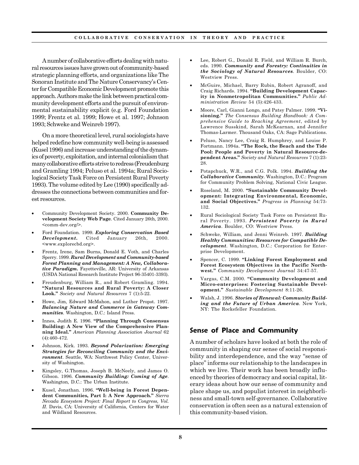A number of collaborative efforts dealing with natural resources issues have grown out of community-based strategic planning efforts, and organizations like The Sonoran Institute and The Nature Conservancy's Center for Compatible Economic Development promote this approach. Authors make the link between practical community development efforts and the pursuit of environmental sustainability explicit (e.g. Ford Foundation 1999; Frentz et al. 1999; Howe et al. 1997; Johnson 1993; Schweke and Weinreb 1997).

On a more theoretical level, rural sociologists have helped redefine how community well-being is assessed (Kusel 1996) and increase understanding of the dynamics of poverty, exploitation, and internal colonialism that many collaborative efforts strive to redress (Freudenburg and Gramling 1994; Peluso et al. 1994a; Rural Sociological Society Task Force on Persistent Rural Poverty 1993). The volume edited by Lee (1990) specifically addresses the connections between communities and forest resources.

- Community Development Society. 2000. **Community Development Society Web Page***.* Cited January 26th, 2000. <comm-dev.org/>.
- Ford Foundation. 1999. *Exploring Conservation Based Development.* Cited January 26th, 2000. <www.explorecbd.org>.
- Frentz, Irene, Sam Burns, Donald E. Voth, and Charles Sperry. 1999. *Rural Development and Community-based Forest Planning and Management: A New, Collaborative Paradigm***.** Fayetteville, AR: University of Arkansas (USDA National Research Institute Project 96-35401-3393).
- Freudenburg, William R., and Robert Gramling. 1994. **"Natural Resources and Rural Poverty: A Closer Look."** *Society and Natural Resources* 7 (1):5-22.
- Howe, Jim, Edward McMahon, and Luther Propst. 1997. *Balancing Nature and Commerce in Gateway Communities*. Washington, D.C.: Island Press.
- Innes, Judith E. 1996. **"Planning Through Consensus Building: A New View of the Comprehensive Planning Ideal."** *American Planning Association Journal* 62 (4):460-472.
- Johnson, Kirk. 1993. *Beyond Polarization: Emerging Strategies for Reconciling Community and the Environment*. Seattle, WA: Northwest Policy Center, University of Washington.
- Kingsley, G.Thomas, Joseph B. McNeely, and James O. Gibson. 1996. *Community Building: Coming of Age*. Washington, D.C.: The Urban Institute.
- Kusel, Jonathan. 1996. **"Well-being in Forest Dependent Communities, Part I: A New Approach."** *Sierra Nevada Ecosystem Project: Final Report to Congress, Vol. II*. Davis, CA: University of California, Centers for Water and Wildland Resources.
- Lee, Robert G., Donald R. Field, and William R. Burch, eds. 1990. *Community and Forestry: Continuities in the Sociology of Natural Resources*. Boulder, CO: Westview Press.
- McGuire, Michael, Barry Rubin, Robert Agranoff, and Craig Richards. 1994. **"Building Development Capacity in Nonmetropolitan Communities."** *Public Administration Review* 54 (5):426-433.
- Moore, Carl, Gianni Longo, and Patsy Palmer. 1999. **"Visioning."** *The Consensus Building Handbook: A Comprehensive Guide to Reaching Agreement*, edited by Lawrence Susskind, Sarah McKearnan, and Jennifer Thomas-Larmer. Thousand Oaks, CA: Sage Publications.
- Peluso, Nancy Lee, Craig R. Humphrey, and Louise P. Fortmann. 1994a. **"The Rock, the Beach and the Tide Pool: People and Poverty in Natural Resource-dependent Areas."** *Society and Natural Resources* 7 (1):23- 28.
- Potapchuck, W.R., and C.G. Polk. 1994. *Building the Collaborative Community*. Washington, D.C.: Program for Community Problem Solving, National Civic League.
- Roseland, M. 2000. **"Sustainable Community Development: Integrating Environmental, Economic, and Social Objectives."** *Progress in Planning* 54:73- 132.
- Rural Sociological Society Task Force on Persistent Rural Poverty. 1993. *Persistent Poverty in Rural America*. Boulder, CO: Westview Press.
- Schweke, William, and Jenni Weinreb. 1997. *Building Healthy Communities: Resources for Compatible Development*. Washington, D.C.: Corporation for Enterprise Development.
- Spencer, C. 1999. **"Linking Forest Employment and Forest Ecosystem Objectives in the Pacific Northwest."** *Community Development Journal* 34:47-57.
- Vargas, C.M. 2000. **"Community Development and Micro-enterprises: Fostering Sustainable Development."** *Sustainable Development* 8:11-26.
- Walsh, J. 1996. *Stories of Renewal: Community Building and the Future of Urban America.* New York, NY: The Rockefeller Foundation.

#### **Sense of Place and Community**

A number of scholars have looked at both the role of community in shaping our sense of social responsibility and interdependence, and the way "sense of place" informs our relationship to the landscapes in which we live. Their work has been broadly influenced by theories of democracy and social capital, literary ideas about how our sense of community and place shape us, and populist interest in neighborliness and small-town self-governance. Collaborative conservation is often seen as a natural extension of this community-based vision.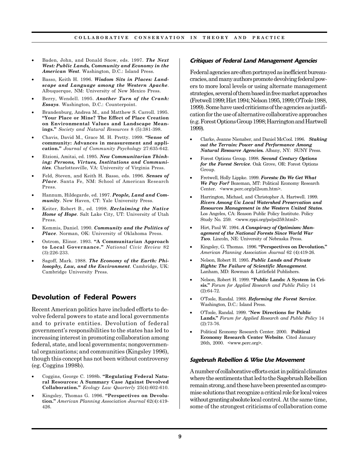- Baden, John, and Donald Snow, eds. 1997. *The Next West: Public Lands, Community and Economy in the American West*. Washington, D.C.: Island Press.
- Basso, Keith H. 1996. *Wisdom Sits in Places: Landscape and Language among the Western Apache*. Albuquerque, NM: University of New Mexico Press.
- Berry, Wendell. 1995. *Another Turn of the Crank: Essays*. Washington, D.C.: Counterpoint.
- Brandenburg, Andrea M., and Matthew S. Carroll. 1995. **"Your Place or Mine? The Effect of Place Creation on Environmental Values and Landscape Meanings."** *Society and Natural Resources* 8 (5):381-398.
- Chavis, David M., Grace M. H. Pretty. 1999. **"Sense of community: Advances in measurement and application."** *Journal of Community Psychology* 27:635-642.
- Etzioni, Amitai, ed. 1995. *New Communitarian Thinking: Persons, Virtues, Institutions and Communities*. Charlottesville, VA: University of Virginia Press.
- Feld, Steven, and Keith H. Basso, eds. 1996. *Senses of Place*. Santa Fe, NM: School of American Research Press.
- Hannum, Hildegarde, ed. 1997. *People, Land and Community*. New Haven, CT: Yale University Press.
- Keiter, Robert B., ed. 1998. *Reclaiming the Native Home of Hope*. Salt Lake City, UT: University of Utah Press.
- Kemmis, Daniel. 1990. *Community and the Politics of Place*. Norman, OK: University of Oklahoma Press.
- Ostrom, Elinor. 1993. **"A Communitarian Approach to Local Governance."** *National Civic Review* 82 (3):226-233.
- Sagoff, Mark. 1988. *The Economy of the Earth: Philosophy, Law, and the Environment*. Cambridge, UK: Cambridge University Press.

## **Devolution of Federal Powers**

Recent American politics have included efforts to devolve federal powers to state and local governments and to private entities. Devolution of federal government's responsibilities to the states has led to increasing interest in promoting collaboration among federal, state, and local governments; nongovernmental organizations; and communities (Kingsley 1996), though this concept has not been without controversy (eg. Coggins 1998b).

- Coggins, George C. 1998b. **"Regulating Federal Natural Resources: A Summary Case Against Devolved Collaboration."** *Ecology Law Quarterly* 25(4):602-610.
- Kingsley, Thomas G. 1996. **"Perspectives on Devolution."** *American Planning Association Journal* 62(4):419- 426.

#### **Critiques of Federal Land Management Agencies**

Federal agencies are often portrayed as inefficient bureaucracies, and many authors promote devolving federal powers to more local levels or using alternate management strategies, several of them based in free market approaches (Fretwell 1999; Hirt 1994; Nelson 1995, 1999; O'Toole 1988, 1999). Some have used criticisms of the agencies as justification for the use of alternative collaborative approaches (e.g. Forest Options Group 1998; Harrington and Hartwell 1999).

- Clarke, Jeanne Nienaber, and Daniel McCool. 1996. *Staking out the Terrain: Power and Performance Among Natural Resource Agencies.* Albany, NY: SUNY Press.
- Forest Options Group. 1998. *Second Century Options for the Forest Service*. Oak Grove, OR: Forest Options Group.
- Fretwell, Holly Lippke. 1999. *Forests: Do We Get What We Pay For?* Bozeman, MT: Political Economy Research Center. <www.perc.org/pl2sum.htm>.
- Harrington, Michael, and Christopher A. Hartwell. 1999. *Rivers Among Us: Local Watershed Preservation and Resources Management in the Western United States*. Los Angeles, CA: Reason Public Policy Institute. Policy Study No. 259. <www.rppi.org/ps/ps259.html>.
- Hirt, Paul W. 1994. *A Conspiracy of Optimism: Management of the National Forests Since World War Two*. Lincoln, NE: University of Nebraska Press.
- Kingsley, G. Thomas. 1996. **"Perspectives on Devolution."** *American Planning Association Journal* 62 (4):419-26.
- Nelson, Robert H. 1995. *Public Lands and Private Rights: The Failure of Scientific Management*. Lanham, MD: Rowman & Littlefield Publishers.
- Nelson, Robert H. 1999. **"Public Lands: A System in Crisis."** *Forum for Applied Research and Public Policy* 14 (2):64-72.
- O'Toole, Randal. 1988. *Reforming the Forest Service*. Washington, D.C.: Island Press.
- O'Toole, Randal. 1999. "**New Directions for Public Lands."** *Forum for Applied Research and Public Policy* 14 (2):73-76.
- Political Economy Research Center. 2000. **Political Economy Research Center Website***.* Cited January 26th, 2000. <www.perc.org>.

#### **Sagebrush Rebellion & Wise Use Movement**

A number of collaborative efforts exist in political climates where the sentiments that led to the Sagebrush Rebellion remain strong, and these have been presented as compromise solutions that recognize a critical role for local voices without granting absolute local control. At the same time, some of the strongest criticisms of collaboration come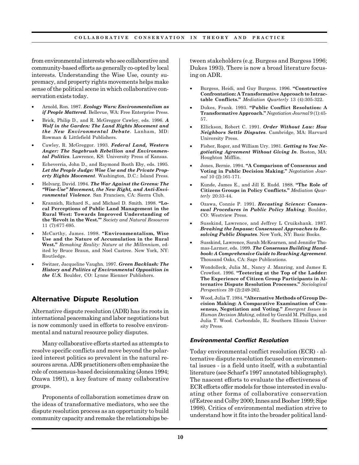from environmental interests who see collaborative and community-based efforts as generally co-opted by local interests. Understanding the Wise Use, county supremacy, and property rights movements helps make sense of the political scene in which collaborative conservation exists today.

- Arnold, Ron. 1987. *Ecology Wars: Environmentalism as if People Mattered*. Bellevue, WA: Free Enterprise Press.
- Brick, Philip D., and R. McGreggor Cawley, eds. 1996. *A Wolf in the Garden: The Land Rights Movement and the New Environmental Debate*. Lanham, MD: Rowman & Littlefield Publishers.
- Cawley, R. McGreggor. 1993. *Federal Land, Western Anger: The Sagebrush Rebellion and Environmental Politics*. Lawrence, KS: University Press of Kansas.
- Echeverria, John D., and Raymond Booth Eby, eds. 1995. *Let the People Judge: Wise Use and the Private Property Rights Movement*. Washington, D.C.: Island Press.
- Helvarg, David. 1994. *The War Against the Greens: The "Wise-Use" Movement, the New Right, and Anti-Environmental Violence*. San Francisco, CA: Sierra Club.
- Krannich, Richard S., and Michael D. Smith. 1998. **"Local Perceptions of Public Land Management in the Rural West: Towards Improved Understanding of the 'Revolt in the West.'"** *Society and Natural Resources* 11 (7):677-695.
- McCarthy, James. 1998. **"Environmentalism, Wise Use and the Nature of Accumulation in the Rural West."** *Remaking Reality: Nature at the Millennium*, edited by Bruce Braun, and Noel Castree. New York, NY: Routledge.
- Switzer, Jacqueline Vaughn. 1997. *Green Backlash: The History and Politics of Environmental Opposition in the U.S.* Boulder, CO: Lynne Rienner Publishers.

## **Alternative Dispute Resolution**

Alternative dispute resolution (ADR) has its roots in international peacemaking and labor negotiations but is now commonly used in efforts to resolve environmental and natural resource policy disputes.

Many collaborative efforts started as attempts to resolve specific conflicts and move beyond the polarized interest politics so prevalent in the natural resources arena. ADR practitioners often emphasize the role of consensus-based decisionmaking (Jones 1994; Ozawa 1991), a key feature of many collaborative groups.

Proponents of collaboration sometimes draw on the ideas of transformative mediators, who see the dispute resolution process as an opportunity to build community capacity and remake the relationships between stakeholders (e.g. Burgess and Burgess 1996; Dukes 1993). There is now a broad literature focusing on ADR.

- Burgess, Heidi, and Guy Burgess. 1996. **"Constructive Confrontation: A Transformative Approach to Intractable Conflicts."** *Mediation Quarterly* 13 (4):305-322.
- Dukes, Frank. 1993. **"Public Conflict Resolution: A Transformative Approach."** *Negotiation Journal* 9 (1):45- 57.
- Ellickson, Robert C. 1991. *Order Without Law: How Neighbors Settle Disputes*. Cambridge, MA: Harvard University Press.
- Fisher, Roger, and William Ury. 1981. *Getting to Yes: Negotiating Agreement Without Giving In*. Boston, MA: Houghton Mifflin.
- Jones, Bernie. 1994. **"A Comparison of Consensus and Voting in Public Decision Making."** *Negotiation Journal* 10 (2):161-171.
- Kunde, James E., and Jill E. Rudd. 1988. **"The Role of Citizens Groups in Policy Conflicts."** *Mediation Quarterly* 20:33-44.
- Ozawa, Connie P. 1991. *Recasting Science: Consensual Procedures in Public Policy Making*. Boulder, CO: Westview Press.
- Susskind, Lawrence, and Jeffrey L Cruikshank. 1987. *Breaking the Impasse: Consensual Approaches to Resolving Public Disputes*. New York, NY: Basic Books.
- Susskind, Lawrence, Sarah McKearnen, and Jennifer Thomas-Larmer, eds. 1999. *The Consensus Building Handbook: A Comprehensive Guide to Reaching Agreement*. Thousand Oaks, CA: Sage Publications.
- Wondolleck, Julia M., Nancy J. Manring, and James E. Crowfoot. 1996. **"Teetering at the Top of the Ladder: The Experience of Citizen Group Participants in Alternative Dispute Resolution Processes."** *Sociological Perspectives* 39 (2):249-262.
- Wood, Julia T. 1984. **"Alternative Methods of Group Decision Making: A Comparative Examination of Consensus, Negotiation and Voting."** *Emergent Issues in Human Decision Making*, edited by Gerald M. Phillips, and Julia T. Wood. Carbondale, IL: Southern Illinois University Press.

#### **Environmental Conflict Resolution**

Today environmental conflict resolution (ECR) - alternative dispute resolution focused on environmental issues - is a field unto itself, with a substantial literature (see Scharf's 1997 annotated bibliography). The nascent efforts to evaluate the effectiveness of ECR efforts offer models for those interested in evaluating other forms of collaborative conservation (d'Estree and Colby 2000; Innes and Booher 1999; Sipe 1998). Critics of environmental mediation strive to understand how it fits into the broader political land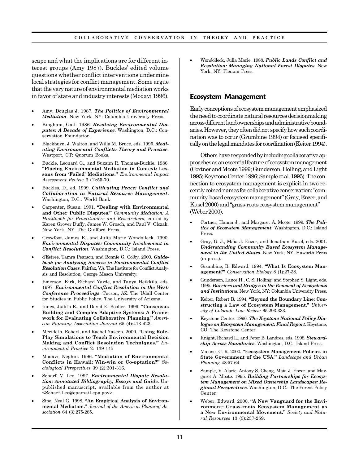scape and what the implications are for different interest groups (Amy 1987). Buckles' edited volume questions whether conflict interventions undermine local strategies for conflict management. Some argue that the very nature of environmental mediation works in favor of state and industry interests (Modavi 1996).

- Amy, Douglas J. 1987. *The Politics of Environmental Mediation*. New York, NY: Columbia University Press.
- Bingham, Gail. 1986. *Resolving Environmental Disputes: A Decade of Experience*. Washington, D.C.: Conservation Foundation.
- Blackburn, J. Walton, and Willa M. Bruce, eds. 1995. *Mediating Environmental Conflicts: Theory and Practice*. Westport, CT: Quorum Books.
- Buckle, Leonard G., and Suzann R. Thomas-Buckle. 1986. **"Placing Environmental Mediation in Context: Lessons from 'Failed' Mediations."** *Environmental Impact Assessment Review* 6 (1):55-70.
- Buckles, D., ed. 1999. *Cultivating Peace: Conflict and Collaboration in Natural Resource Management***.** Washington, D.C.: World Bank.
- Carpenter, Susan. 1991. **"Dealing with Environmental and Other Public Disputes."** *Community Mediation: A Handbook for Practitioners and Researchers*, edited by Karen Grover Duffy, James W. Grosch, and Paul V. Olczak. New York, NY: The Guilford Press.
- Crowfoot, James E., and Julia Marie Wondolleck. 1990. *Environmental Disputes: Community Involvement in Conflict Resolution*. Washington, D.C.: Island Press.
- d'Estree, Tamra Pearson, and Bonnie G. Colby. 2000. *Guidebook for Analyzing Success in Environmental Conflict Resolution Cases.* Fairfax, VA: The Institute for Conflict Analysis and Resolution, George Mason University.
- Emerson, Kirk, Richard Yarde, and Tanya Heikkila, eds. 1997. *Environmental Conflict Resolution in the West: Conference Proceedings*. Tucson, AZ: The Udall Center for Studies in Public Policy, The University of Arizona.
- Innes, Judith E., and David E. Booher. 1999. **"Consensus Building and Complex Adaptive Systems: A Framework for Evaluating Collaborative Planning."** *American Planning Association Journal* 65 (4):413-423.
- Merideth, Robert, and Rachel Yaseen. 2000. **"Using Role-Play Simulations to Teach Environmental Decision Making and Conflict Resolution Techniques."** *Environmental Practice* 2: 139-145
- Modavi, Neghin. 1996. **"Mediation of Environmental Conflicts in Hawaii: Win-win or Co-optation?"** *Sociological Perspectives* 39 (2):301-316.
- Scharf, V. Lee. 1997. *Environmental Dispute Resolution: Annotated Bibliography, Essays and Guide*. Unpublished manuscript, available from the author at <Scharf.Lee@epamail.epa.gov>.
- Sipe, Neal G. 1998. **"An Empirical Analysis of Environmental Mediation."** *Journal of the American Planning Association* 64 (3):275-285.

• Wondolleck, Julia Marie. 1988. *Public Lands Conflict and Resolution: Managing National Forest Disputes.* New York, NY: Plenum Press.

#### **Ecosystem Management**

Early conceptions of ecosystem management emphasized the need to coordinate natural resources decisionmaking across different land ownerships and administrative boundaries. However, they often did not specify how such coordination was to occur (Grumbine 1994) or focused specifically on the legal mandates for coordination (Keiter 1994).

Others have responded by including collaborative approaches as an essential feature of ecosystem management (Cortner and Moote 1999; Gunderson, Holling, and Light 1995; Keystone Center 1996; Sample et al. 1995). The connection to ecosystem management is explicit in two recently coined names for collaborative conservation: "community-based ecosystem management" (Gray, Enzer, and Kusel 2000) and "grass-roots ecosystem management" (Weber 2000).

- Cortner, Hanna J., and Margaret A. Moote. 1999. *The Politics of Ecosystem Management*. Washington, D.C.: Island Press.
- Gray, G. J., Maia J. Enzer, and Jonathan Kusel, eds. 2001. *Understanding Community Based Ecosystem Management in the United States*. New York, NY: Haworth Press (in press).
- Grumbine, R. Edward. 1994. **"What Is Ecosystem Management?"** *Conservation Biology* 8 (1):27-38.
- Gunderson, Lance H., C. S. Holling, and Stephen S. Light, eds. 1995. *Barriers and Bridges to the Renewal of Ecosystems and Institutions*. New York, NY: Columbia University Press.
- Keiter, Robert B. 1994. **"Beyond the Boundary Line: Constructing a Law of Ecosystem Management."** *University of Colorado Law Review* 65:293-333.
- Keystone Center. 1996. *The Keystone National Policy Dialogue on Ecosystem Management: Final Report*. Keystone, CO: The Keystone Center.
- Knight, Richard L., and Peter B. Landres, eds. 1998. *Stewardship Across Boundaries*. Washington, D.C.: Island Press.
- Malone, C. R. 2000. **"Ecosystem Management Policies in State Government of the USA."** *Landscape and Urban Planning* 48:57-64.
- Sample, V. Alaric, Antony S. Cheng, Maia J. Enzer, and Margaret A. Moote. 1995. *Building Partnerships for Ecosystem Management on Mixed Ownership Landscapes: Regional Perspectives*. Washington, D.C.: The Forest Policy Center.
- Weber, Edward. 2000. **"A New Vanguard for the Environment: Grass-roots Ecosystem Management as a New Environmental Movement."** *Society and Natural Resources* 13 (3):237-259.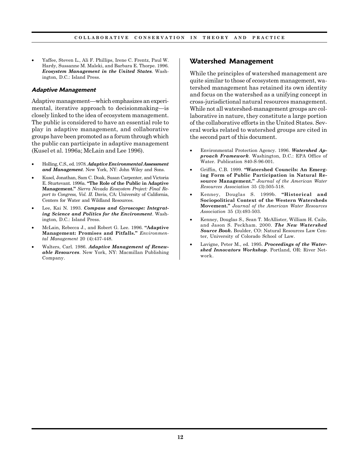• Yaffee, Steven L., Ali F. Phillips, Irene C. Frentz, Paul W. Hardy, Sussanne M. Maleki, and Barbara E. Thorpe. 1996. *Ecosystem Management in the United States*. Washington, D.C.: Island Press.

#### **Adaptive Management**

Adaptive management—which emphasizes an experimental, iterative approach to decisionmaking—is closely linked to the idea of ecosystem management. The public is considered to have an essential role to play in adaptive management, and collaborative groups have been promoted as a forum through which the public can participate in adaptive management (Kusel et al. 1996a; McLain and Lee 1996).

- Holling, C.S., ed. 1978. *Adaptive Environmental Assessment and Management*. New York, NY: John Wiley and Sons.
- Kusel, Jonathan, Sam C. Doak, Susan Carpenter, and Victoria E. Sturtevant. 1996a. **"The Role of the Public in Adaptive Management."** *Sierra Nevada Ecosystem Project: Final Report to Congress, Vol. II*. Davis, CA: University of California, Centers for Water and Wildland Resources.
- Lee, Kai N. 1993. *Compass and Gyroscope: Integrating Science and Politics for the Environment*. Washington, D.C.: Island Press.
- McLain, Rebecca J., and Robert G. Lee. 1996. **"Adaptive Management: Promises and Pitfalls."** *Environmental Management* 20 (4):437-448.
- Walters, Carl. 1986. *Adaptive Management of Renewable Resources*. New York, NY: Macmillan Publishing Company.

### **Watershed Management**

While the principles of watershed management are quite similar to those of ecosystem management, watershed management has retained its own identity and focus on the watershed as a unifying concept in cross-jurisdictional natural resources management. While not all watershed-management groups are collaborative in nature, they constitute a large portion of the collaborative efforts in the United States. Several works related to watershed groups are cited in the second part of this document.

- Environmental Protection Agency. 1996. *Watershed Approach Framework*. Washington, D.C.: EPA Office of Water. Publication 840-S-96-001.
- Griffin, C.B. 1999. **"Watershed Councils: An Emerging Form of Public Participation in Natural Resource Management."** *Journal of the American Water Resources Association* 35 (3):505-518.
- Kenney, Douglas S. 1999b. **"Historical and Sociopolitical Context of the Western Watersheds Movement."** *Journal of the American Water Resources Association* 35 (3):493-503.
- Kenney, Douglas S., Sean T. McAllister, William H. Caile, and Jason S. Peckham. 2000. *The New Watershed Source Book***.** Boulder, CO: Natural Resources Law Center, University of Colorado School of Law.
- Lavigne, Peter M., ed. 1995. *Proceedings of the Watershed Innovators Workshop*. Portland, OR: River Network.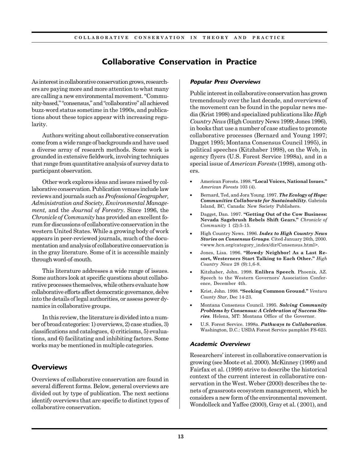# **Collaborative Conservation in Practice**

As interest in collaborative conservation grows, researchers are paying more and more attention to what many are calling a new environmental movement. "Community-based," "consensus," and "collaborative" all achieved buzz-word status sometime in the 1990s, and publications about these topics appear with increasing regularity.

Authors writing about collaborative conservation come from a wide range of backgrounds and have used a diverse array of research methods. Some work is grounded in extensive fieldwork, involving techniques that range from quantitative analysis of survey data to participant observation.

Other work explores ideas and issues raised by collaborative conservation. Publication venues include law reviews and journals such as *Professional Geographer, Administration and Society, Environmental Management,* and the *Journal of Forestry*. Since 1996, the *Chronicle of Community* has provided an excellent forum for discussions of collaborative conservation in the western United States. While a growing body of work appears in peer-reviewed journals, much of the documentation and analysis of collaborative conservation is in the gray literature. Some of it is accessible mainly through word-of-mouth.

This literature addresses a wide range of issues. Some authors look at specific questions about collaborative processes themselves, while others evaluate how collaborative efforts affect democratic governance, delve into the details of legal authorities, or assess power dynamics in collaborative groups.

In this review, the literature is divided into a number of broad categories: 1) overviews, 2) case studies, 3) classifications and catalogues, 4) criticisms, 5) evaluations, and 6) facilitating and inhibiting factors. Some works may be mentioned in multiple categories.

## **Overviews**

Overviews of collaborative conservation are found in several different forms. Below, general overviews are divided out by type of publication. The next sections identify overviews that are specific to distinct types of collaborative conservation.

#### **Popular Press Overviews**

Public interest in collaborative conservation has grown tremendously over the last decade, and overviews of the movement can be found in the popular news media (Krist 1998) and specialized publications like *High Country News* (High Country News 1999; Jones 1996), in books that use a number of case studies to promote collaborative processes (Bernard and Young 1997; Dagget 1995; Montana Consensus Council 1995), in political speeches (Kitzhaber 1998), on the Web, in agency flyers (U.S. Forest Service 1998a), and in a special issue of *American Forests* (1998), among others.

- American Forests. 1998. **"Local Voices, National Issues."** *American Forests* 103 (4).
- Bernard, Ted, and Jora Young. 1997. *The Ecology of Hope: Communities Collaborate for Sustainability*. Gabriola Island, BC, Canada: New Society Publishers.
- Dagget, Dan. 1997. **"Getting Out of the Cow Business: Nevada Sagebrush Rebels Shift Gears."** *Chronicle of Community* 1 (2):5-15.
- High Country News. 1996. *Index to High Country News Stories on Consensus Groups.* Cited January 26th, 2000. <www.hcn.org/category\_index/dir/Consensus.html>.
- Jones, Lisa. 1996. **"Howdy Neighbor! As a Last Resort, Westerners Start Talking to Each Other."** *High Country News* 28 (9):1,6-8.
- Kitzhaber, John. 1998. **Enlibra Speech***.* Phoenix, AZ. Speech to the Western Governors' Association Conference, December 4th.
- Krist, John. 1998. **"Seeking Common Ground."** *Ventura County Star*, Dec 14-23.
- Montana Consensus Council. 1995. *Solving Community Problems by Consensus: A Celebration of Success Stories*. Helena, MT: Montana Office of the Governor.
- U.S. Forest Service. 1998a. *Pathways to Collaboration*. Washington, D.C.: USDA Forest Service pamphlet FS-623.

#### **Academic Overviews**

Researchers' interest in collaborative conservation is growing (see Moote et al. 2000). McKinney (1999) and Fairfax et al. (1999) strive to describe the historical context of the current interest in collaborative conservation in the West. Weber (2000) describes the tenets of grassroots ecosystem management, which he considers a new form of the environmental movement. Wondolleck and Yaffee (2000), Gray et al. ( 2001), and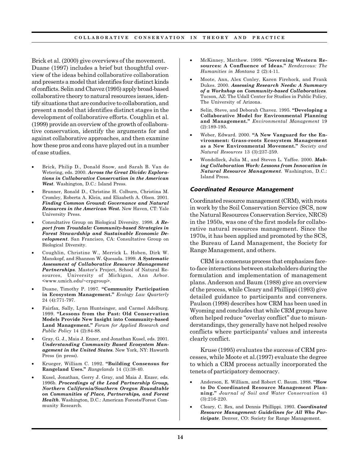Brick et al. (2000) give overviews of the movement. Duane (1997) includes a brief but thoughtful overview of the ideas behind collaborative collaboration and presents a model that identifies four distinct kinds of conflicts. Selin and Chavez (1995) apply broad-based collaborative theory to natural resources issues, identify situations that are conducive to collaboration, and present a model that identifies distinct stages in the development of collaborative efforts. Coughlin et al. (1999) provide an overview of the growth of collaborative conservation, identify the arguments for and against collaborative approaches, and then examine how these pros and cons have played out in a number of case studies.

- Brick, Philip D., Donald Snow, and Sarah B. Van de Wetering, eds. 2000. *Across the Great Divide: Explorations in Collaborative Conservation in the American West*. Washington, D.C.: Island Press.
- Brunner, Ronald D., Christine H. Colburn, Christina M. Cromley, Roberta A. Klein, and Elizabeth A. Olsen. 2001. *Finding Common Ground: Governance and Natural Resources in the American West.* New Haven, CT: Yale University Press.
- Consultative Group on Biological Diversity. 1998. *A Report from Troutdale: Community-based Strategies in Forest Stewardship and Sustainable Economic Development*. San Francisco, CA: Consultative Group on Biological Diversity.
- Coughlin, Christine W., Merrick L. Hoben, Dirk W. Manskopf, and Shannon W. Quesada. 1999. *A Systematic Assessment of Collaborative Resource Management Partnerships*. Master's Project, School of Natural Resources, University of Michigan, Ann Arbor. <www.umich.edu/~crpgroup>.
- Duane, Timothy P. 1997. **"Community Participation in Ecosystem Management."** *Ecology Law Quarterly* 24 (4):771-797.
- Fairfax, Sally, Lynn Huntsinger, and Carmel Adelburg. 1999. **"Lessons from the Past: Old Conservation Models Provide New Insight into Community-based Land Management."** *Forum for Applied Research and Public Policy* 14 (2):84-88.
- Gray, G. J., Maia J. Enzer, and Jonathan Kusel, eds. 2001. *Understanding Community Based Ecosystem Management in the United States*. New York, NY: Haworth Press (in press).
- Krueger, William C. 1992. **"Building Consensus for Rangeland Uses."** *Rangelands* 14 (1):38-40.
- Kusel, Jonathan, Gerry J. Gray, and Maia J. Enzer, eds. 1996b. *Proceedings of the Lead Partnership Group, Northern California/Southern Oregon Roundtable on Communities of Place, Partnerships, and Forest Health*. Washington, D.C.: American Forests/Forest Community Research.
- McKinney, Matthew. 1999. **"Governing Western Resources: A Confluence of Ideas."** *Rendezvous: The Humanities in Montana* 2 (2):4-11.
- Moote, Ann, Alex Conley, Karen Firehock, and Frank Dukes. 2000. *Assessing Research Needs: A Summary of a Workshop on Community-based Collaboratives.* Tucson, AZ: The Udall Center for Studies in Public Policy, The University of Arizona.
- Selin, Steve, and Deborah Chavez. 1995. **"Developing a Collaborative Model for Environmental Planning and Management."** *Environmental Management* 19 (2):189-195.
- Weber, Edward. 2000. **"A New Vanguard for the Environment: Grass-roots Ecosystem Management as a New Environmental Movement."** *Society and Natural Resources* 13 (3):237-259.
- Wondolleck, Julia M., and Steven L. Yaffee. 2000. *Making Collaboration Work: Lessons from Innovation in Natural Resource Management*. Washington, D.C.: Island Press.

#### **Coordinated Resource Management**

Coordinated resource management (CRM), with roots in work by the Soil Conservation Service (SCS, now the Natural Resources Conservation Service, NRCS) in the 1950s, was one of the first models for collaborative natural resources management. Since the 1970s, it has been applied and promoted by the SCS, the Bureau of Land Management, the Society for Range Management, and others.

CRM is a consensus process that emphasizes faceto-face interactions between stakeholders during the formulation and implementation of management plans. Anderson and Baum (1988) give an overview of the process, while Cleary and Phillippi (1993) give detailed guidance to participants and conveners. Paulson (1998) describes how CRM has been used in Wyoming and concludes that while CRM groups have often helped reduce "overlay conflict" due to misunderstandings, they generally have not helped resolve conflicts where participants' values and interests clearly conflict.

Kruse (1995) evaluates the success of CRM processes, while Moote et al.(1997) evaluate the degree to which a CRM process actually incorporated the tenets of participatory democracy.

- Anderson, E. William, and Robert C. Baum. 1988. **"How to Do Coordinated Resource Management Planning."** *Journal of Soil and Water Conservation* 43 (3):216-220.
- Cleary, C. Rex, and Dennis Phillippi. 1993. *Coordinated Resource Management: Guidelines for All Who Participate*. Denver, CO: Society for Range Management.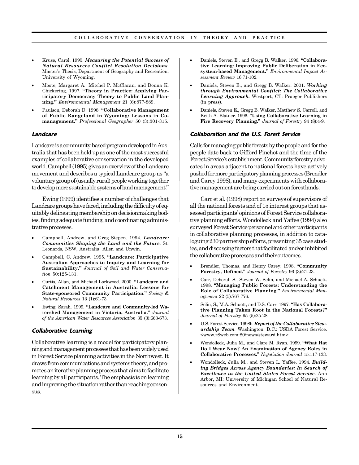- Kruse, Carol. 1995. *Measuring the Potential Success of Natural Resources Conflict Resolution Decisions*. Master's Thesis, Department of Geography and Recreation, University of Wyoming.
- Moote, Margaret A., Mitchel P. McClaran, and Donna K. Chickering. 1997. **"Theory in Practice: Applying Participatory Democracy Theory to Public Land Planning."** *Environmental Management* 21 (6):877-889.
- Paulson, Deborah D. 1998. **"Collaborative Management of Public Rangeland in Wyoming: Lessons in Comanagement."** *Professional Geographer* 50 (3):301-315.

#### **Landcare**

Landcare is a community-based program developed in Australia that has been held up as one of the most successful examples of collaborative conservation in the developed world. Campbell (1995) gives an overview of the Landcare movement and describes a typical Landcare group as "a voluntary group of (usually rural) people working together to develop more sustainable systems of land management."

Ewing (1999) identifies a number of challenges that Landcare groups have faced, including the difficulty of equitably delineating membership on decisionmaking bodies, finding adequate funding, and coordinating administrative processes.

- Campbell, Andrew, and Greg Siepen. 1994. *Landcare: Communities Shaping the Land and the Future*. St. Leonards, NSW, Australia: Allen and Unwin.
- Campbell, C. Andrew. 1995. **"Landcare: Participative Australian Approaches to Inquiry and Learning for Sustainability."** *Journal of Soil and Water Conservation* 50:125-131.
- Curtis, Allan, and Michael Lockwood. 2000. **"Landcare and Catchment Management in Australia: Lessons for State-sponsored Community Participation."** *Society & Natural Resources* 13 (1):61-73.
- Ewing, Sarah. 1999. **"Landcare and Community-led Watershed Management in Victoria, Australia."** *Journal of the American Water Resources Association* 35 (3):663-673.

#### **Collaborative Learning**

Collaborative learning is a model for participatory planning and management processes that has been widely used in Forest Service planning activities in the Northwest. It draws from communications and systems theory, and promotes an iterative planning process that aims to facilitate learning by all participants. The emphasis is on learning and improving the situation rather than reaching consensus.

- Daniels, Steven E., and Gregg B. Walker. 1996. **"Collaborative Learning: Improving Public Deliberation in Ecosystem-based Management."** *Environmental Impact Assessment Review* 16:71-102.
- Daniels, Steven E., and Gregg B. Walker. 2001. *Working through Environmental Conflict: The Collaborative Learning Approach*. Westport, CT: Praeger Publishers (in press).
- Daniels, Steven E., Gregg B. Walker, Matthew S. Carroll, and Keith A. Blatner. 1996. **"Using Collaborative Learning in Fire Recovery Planning."** *Journal of Forestry* 94 (8):4-9.

#### **Collaboration and the U.S. Forest Service**

Calls for managing public forests by the people and for the people date back to Gifford Pinchot and the time of the Forest Service's establishment. Community forestry advocates in areas adjacent to national forests have actively pushed for more participatory planning processes (Brendler and Carey 1998), and many experiments with collaborative management are being carried out on forestlands.

Carr et al. (1998) report on surveys of supervisors of all the national forests and of 15 interest groups that assessed participants' opinions of Forest Service collaborative planning efforts. Wondolleck and Yaffee (1994) also surveyed Forest Service personnel and other participants in collaborative planning processes, in addition to cataloguing 230 partnership efforts, presenting 35 case studies, and discussing factors that facilitated and/or inhibited the collaborative processes and their outcomes.

- Brendler, Thomas, and Henry Carey. 1998. **"Community Forestry, Defined."** *Journal of Forestry* 96 (3):21-23.
- Carr, Deborah S., Steven W. Selin, and Michael A. Schuett. 1998. **"Managing Public Forests: Understanding the Role of Collaborative Planning."** *Environmental Management* 22 (5):767-776.
- Selin, S., M.A. Schuett, and D.S. Carr. 1997. **"Has Collaborative Planning Taken Root in the National Forests?"** *Journal of Forestry* 95 (5):25-28.
- U.S. Forest Service. 1998b. *Report of the Collaborative Stewardship Team.* Washington, D.C.: USDA Forest Service. <www.r8web.com:80/news/steward.htm>.
- Wondolleck, Julia M., and Clare M. Ryan. 1999. **"What Hat Do I Wear Now? An Examination of Agency Roles in Collaborative Processes."** *Negotiation Journal* 15:117-133.
- Wondolleck, Julia M., and Steven L. Yaffee. 1994. *Building Bridges Across Agency Boundaries: In Search of Excellence in the United States Forest Service*. Ann Arbor, MI: University of Michigan School of Natural Resources and Environment.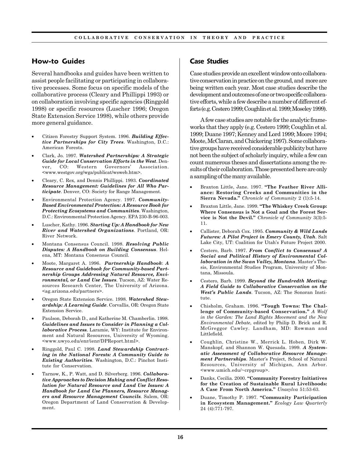## **How-to Guides**

Several handbooks and guides have been written to assist people facilitating or participating in collaborative processes. Some focus on specific models of the collaborative process (Cleary and Phillippi 1993) or on collaboration involving specific agencies (Ringgold 1998) or specific resources (Luscher 1996; Oregon State Extension Service 1998), while others provide more general guidance.

- Citizen Forestry Support System. 1996. *Building Effective Partnerships for City Trees*. Washington, D.C.: American Forests.
- Clark, Jo. 1997. *Watershed Partnerships: A Strategic Guide for Local Conservation Efforts in the West*. Denver, CO: Western Governors' Association. <www.westgov.org/wga/publicat/wsweb.htm>.
- Cleary, C. Rex, and Dennis Phillippi. 1993. *Coordinated Resource Management: Guidelines for All Who Participate*. Denver, CO: Society for Range Management.
- Environmental Protection Agency. 1997. *Community-Based Environmental Protection: A Resource Book for Protecting Ecosystems and Communities*. Washington, D.C.: Environmental Protection Agency. EPA 230-B-96-003.
- Luscher, Kathy. 1996. *Starting Up: A Handbook for New River and Watershed Organizations*. Portland, OR: River Network.
- Montana Consensus Council. 1998. *Resolving Public Disputes: A Handbook on Building Consensus*. Helena, MT: Montana Consensus Council.
- Moote, Margaret A. 1996. *Partnership Handbook*: *A Resource and Guidebook for Community-based Partnership Groups Addressing Natural Resource, Environmental, or Land Use Issues*. Tucson, AZ: Water Resources Research Center, The University of Arizona. <ag.arizona.edu/partners>.
- Oregon State Extension Service. 1998. *Watershed Stewardship: A Learning Guide*. Corvallis, OR: Oregon State Extension Service.
- Paulson, Deborah D., and Katherine M. Chamberlin. 1998. *Guidelines and Issues to Consider in Planning a Collaborative Process*. Laramie, WY: Institute for Environment and Natural Resources, University of Wyoming. <www.uwyo.edu/enr/ienr/DPReport.html>.
- Ringgold, Paul C. 1998. *Land Stewardship Contracting in the National Forests: A Community Guide to Existing Authorities*. Washington, D.C.: Pinchot Institute for Conservation.
- Tarnow, K., P. Watt, and D. Silverberg. 1996. *Collaborative Approaches to Decision Making and Conflict Resolution for Natural Resource and Land Use Issues: A Handbook for Land Use Planners, Resource Managers and Resource Management Councils.* Salem, OR: Oregon Department of Land Conservation & Development.

## **Case Studies**

Case studies provide an excellent window onto collaborative conservation in practice on the ground, and more are being written each year. Most case studies describe the development and outcomes of one or two specific collaborative efforts, while a few describe a number of different efforts (e.g. Cestero 1999; Coughlin et al. 1999; Moseley 1999).

A few case studies are notable for the analytic frameworks that they apply (e.g. Cestero 1999; Coughlin et al. 1999; Duane 1997; Kenney and Lord 1999; Moore 1994; Moote, McClaran, and Chickering 1997). Some collaborative groups have received considerable publicity but have not been the subject of scholarly inquiry, while a few can count numerous theses and dissertations among the results of their collaboration. Those presented here are only a sampling of the many available.

- Braxton Little, Jane. 1997. **"The Feather River Alliance: Restoring Creeks and Communities in the Sierra Nevada."** *Chronicle of Community* 2 (1):5-14.
- Braxton Little, Jane. 1999. **"The Whiskey Creek Group: Where Consensus is Not a Goal and the Forest Service is Not the Devil."** *Chronicle of Community* 3(3):5- 11.
- Callister, Deborah Cox. 1995. *Community & Wild Lands Futures: A Pilot Project in Emery County, Utah*. Salt Lake City, UT: Coalition for Utah's Future Project 2000.
- Cestero, Barb. 1997. *From Conflict to Consensus? A Social and Political History of Environmental Collaboration in the Swan Valley, Montana*. Master's Thesis, Environmental Studies Program, University of Montana, Missoula.
- Cestero, Barb. 1999. *Beyond the Hundredth Meeting: A Field Guide to Collaborative Conservation on the West's Public Lands*. Tucson, AZ: The Sonoran Institute.
- Chisholm, Graham. 1996. **"Tough Towns: The Challenge of Community-based Conservation."** *A Wolf in the Garden: The Land Rights Movement and the New Environmental Debate*, edited by Philip D. Brick and R. McGreggor Cawley. Landham, MD: Rowman and Littlefield.
- Coughlin, Christine W., Merrick L. Hoben, Dirk W. Manskopf, and Shannon W. Quesada. 1999. *A Systematic Assessment of Collaborative Resource Management Partnerships*. Master's Project, School of Natural Resources, University of Michigan, Ann Arbor. <www.umich.edu/~crpgroup>.
- Danks, Cecilia. 2000. **"Community Forestry Initiatives for the Creation of Sustainable Rural Livelihoods: A Case From North America."** *Unasylva* 51:53-63.
- Duane, Timothy P. 1997. **"Community Participation in Ecosystem Management."** *Ecology Law Quarterly* 24 (4):771-797.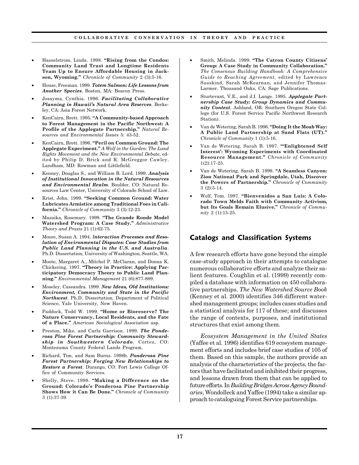- Hasselstrom, Linda. 1998. **"Rising from the Condos: Community Land Trust and Longtime Residents Team Up to Ensure Affordable Housing in Jackson, Wyoming."** *Chronicle of Community* 2 (3):5-16.
- House, Freeman. 1999. *Totem Salmon: Life Lessons from Another Species*. Boston, MA: Beacon Press.
- Josayma, Cynthia. 1996. *Facilitating Collaborative Planning in Hawaii's Natural Area Reserves*. Berkeley, CA: Asia Forest Network.
- KenCairn, Brett. 1995. **"A Community-based Approach to Forest Management in the Pacific Northwest: A Profile of the Applegate Partnership."** *Natural Resources and Environmental Issues* 5: 43-52.
- KenCairn, Brett. 1996. **"Peril on Common Ground: The Applegate Experiment."** *A Wolf in the Garden: The Land Rights Movement and the New Environmental Debate*, edited by Philip D. Brick and R. McGreggor Cawley. Landham, MD: Rowman and Littlefield.
- Kenney, Douglas S., and William B. Lord. 1999. *Analysis of Institutional Innovation in the Natural Resources and Environmental Realm*. Boulder, CO: Natural Resources Law Center, University of Colorado School of Law.
- Krist, John. 1999. **"Seeking Common Ground: Water Lubricates Armistice among Traditional Foes in California."** *Chronicle of Community* 3 (3):12-23.
- Mazaika, Rosemary. 1999. **"The Grande Ronde Model Watershed Program: A Case Study."** *Administrative Theory and Praxis* 21 (1):62-75.
- Moore, Susan A. 1994. *Interaction Processes and Resolution of Environmental Disputes: Case Studies from Public Land Planning in the U.S. and Australia*. Ph.D. Dissertation, University of Washington, Seattle, WA.
- Moote, Margaret A., Mitchel P. McClaran, and Donna K. Chickering. 1997. **"Theory in Practice: Applying Participatory Democracy Theory to Public Land Planning."** *Environmental Management* 21 (6):877-889.
- Moseley, Cassandra. 1999. *New Ideas, Old Institutions: Environment, Community and State in the Pacific Northwest*. Ph.D. Dissertation, Department of Political Science, Yale University, New Haven.
- Paddock, Todd W. 1999. **"Home or Bioreserve? The Nature Conservancy, Local Residents, and the Fate of a Place."** *American Sociological Association* asp.
- Preston, Mike, and Carla Garrison. 1999. *The Ponderosa Pine Forest Partnership: Community Stewardship in Southwestern Colorado*. Cortez, CO: Montezuma County Federal Lands Program.
- Richard, Tim, and Sam Burns. 1998b. *Ponderosa Pine Forest Partnership: Forging New Relationships to Restore a Forest*. Durango, CO: Fort Lewis College Office of Community Services.
- Shelly, Steve. 1998. **"Making a Difference on the Ground: Colorado's Ponderosa Pine Partnership Shows How it Can Be Done."** *Chronicle of Community* 3 (1):37-39.
- Smith, Melinda. 1999. **"The Catron County Citizens' Group: A Case Study in Community Collaboration."** *The Consensus Building Handbook: A Comprehensive Guide to Reaching Agreement*, edited by Lawrence Susskind, Sarah McKearnan, and Jennifer Thomas-Larmer. Thousand Oaks, CA: Sage Publications.
- Sturtevant, V.E., and J.I. Lange. 1995. *Applegate Partnership Case Study: Group Dynamics and Community Context*. Ashland, OR: Southern Oregon State College (for U.S. Forest Service Pacific Northwest Research Station).
- Van de Wetering, Sarah B. 1996. **"Doing It the Moab Way: A Public Land Partnership at Sand Flats (UT)."** *Chronicle of Community* 1 (1):5-16.
- Van de Wetering, Sarah B. 1997. **"'Enlightened Self Interest': Wyoming Experiments with Coordinated Resource Management."** *Chronicle of Community* 1(2):17-25.
- Van de Wetering, Sarah B. 1999. **"A Seamless Canyon: Zion National Park and Springdale, Utah, Discover the Powers of Partnership."** *Chronicle of Community* 3 (2):5-14.
- Wolf, Tom. 1997. **"Bienvenidos a San Luis: A Colorado Town Melds Faith with Community Activism, but Its Goals Remain Elusive."** *Chronicle of Community* 2 (1):15-25.

## **Catalogs and Classification Systems**

A few research efforts have gone beyond the simple case-study approach in their attempts to catalogue numerous collaborative efforts and analyze their salient features. Coughlin et al. (1999) recently compiled a database with information on 450 collaborative partnerships. *The New Watershed Source Book* (Kenney et al. 2000) identifies 346 different watershed management groups; includes cases studies and a statistical analysis for 117 of these; and discusses the range of contexts, purposes, and institutional structures that exist among them.

*Ecosystem Management in the United States* (Yaffee et al. 1996) identifies 619 ecosystem management efforts and includes brief case studies of 105 of them. Based on this sample, the authors provide an analysis of the characteristics of the projects, the factors that have facilitated and inhibited their progress, and lessons drawn from them that can be applied to future efforts. In *Building Bridges Across Agency Boundaries*, Wondolleck and Yaffee (1994) take a similar approach to cataloguing Forest Service partnerships.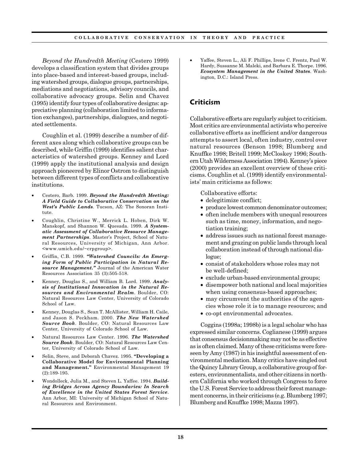*Beyond the Hundredth Meeting* (Cestero 1999) develops a classification system that divides groups into place-based and interest-based groups, including watershed groups, dialogue groups, partnerships, mediations and negotiations, advisory councils, and collaborative advocacy groups. Selin and Chavez (1995) identify four types of collaborative designs: appreciative planning (collaboration limited to information exchanges), partnerships, dialogues, and negotiated settlements.

Coughlin et al. (1999) describe a number of different axes along which collaborative groups can be described, while Griffin (1999) identifies salient characteristics of watershed groups. Kenney and Lord (1999) apply the institutional analysis and design approach pioneered by Elinor Ostrom to distinguish between different types of conflicts and collaborative institutions.

- Cestero, Barb. 1999. *Beyond the Hundredth Meeting: A Field Guide to Collaborative Conservation on the West's Public Lands*. Tucson, AZ: The Sonoran Institute.
- Coughlin, Christine W., Merrick L. Hoben, Dirk W. Manskopf, and Shannon W. Quesada. 1999. *A Systematic Assessment of Collaborative Resource Management Partnerships*. Master's Project, School of Natural Resources, University of Michigan, Ann Arbor. <www.umich.edu/~crpgroup>.
- Griffin, C.B. 1999. *"Watershed Councils: An Emerging Form of Public Participation in Natural Resource Management."* Journal of the American Water Resources Association 35 (3):505-518.
- Kenney, Douglas S., and William B. Lord. 1999. *Analysis of Institutional Innovation in the Natural Resources and Environmental Realm*. Boulder, CO: Natural Resources Law Center, University of Colorado School of Law.
- Kenney, Douglas S., Sean T. McAllister, William H. Caile, and Jason S. Peckham. 2000. *The New Watershed Source Book*. Boulder, CO: Natural Resources Law Center, University of Colorado School of Law.
- Natural Resources Law Center. 1996. *The Watershed Source Book*. Boulder, CO: Natural Resources Law Center, University of Colorado School of Law.
- Selin, Steve, and Deborah Chavez. 1995. **"Developing a Collaborative Model for Environmental Planning and Management."** Environmental Management 19 (2):189-195.
- Wondolleck, Julia M., and Steven L. Yaffee. 1994. *Building Bridges Across Agency Boundaries: In Search of Excellence in the United States Forest Service*. Ann Arbor, MI: University of Michigan School of Natural Resources and Environment.

• Yaffee, Steven L., Ali F. Phillips, Irene C. Frentz, Paul W. Hardy, Sussanne M. Maleki, and Barbara E. Thorpe. 1996. *Ecosystem Management in the United States*. Washington, D.C.: Island Press.

## **Criticism**

Collaborative efforts are regularly subject to criticism. Most critics are environmental activists who perceive collaborative efforts as inefficient and/or dangerous attempts to assert local, often industry, control over natural resources (Benson 1998; Blumberg and Knuffke 1998; Britell 1999; McCloskey 1996; Southern Utah Wilderness Association 1994). Kenney's piece (2000) provides an excellent overview of these criticisms. Coughlin et al. (1999) identify environmentalists' main criticisms as follows:

Collaborative efforts:

- delegitimize conflict;
- produce lowest common denominator outcomes;
- often include members with unequal resources such as time, money, information, and negotiation training;
- address issues such as national forest management and grazing on public lands through local collaboration instead of through national dialogue;
- consist of stakeholders whose roles may not be well-defined;
- exclude urban-based environmental groups;
- disempower both national and local majorities when using consensus-based approaches;
- may circumvent the authorities of the agencies whose role it is to manage resources; and
- co-opt environmental advocates.

Coggins (1998a; 1998b) is a legal scholar who has expressed similar concerns. Coglianese (1999) argues that consensus decisionmaking may not be as effective as is often claimed. Many of these criticisms were foreseen by Amy (1987) in his insightful assessment of environmental mediation. Many critics have singled out the Quincy Library Group, a collaborative group of foresters, environmentalists, and other citizens in northern California who worked through Congress to force the U.S. Forest Service to address their forest management concerns, in their criticisms (e.g. Blumberg 1997; Blumberg and Knuffke 1998; Mazza 1997).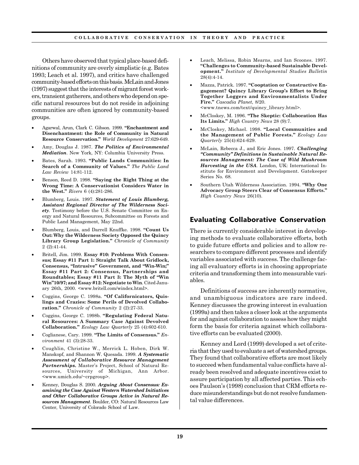Others have observed that typical place-based definitions of community are overly simplistic (e.g. Bates 1993; Leach et al. 1997), and critics have challenged community-based efforts on this basis. McLain and Jones (1997) suggest that the interests of migrant forest workers, transient gatherers, and others who depend on specific natural resources but do not reside in adjoining communities are often ignored by community-based groups.

- Agarwal, Arun, Clark C. Gibson. 1999. **"Enchantment and Disenchantment: the Role of Community in Natural Resource Conservation."** *World Development* 27:629-649.
- Amy, Douglas J. 1987. *The Politics of Environmental Mediation*. New York, NY: Columbia University Press.
- Bates, Sarah. 1993. **"Public Lands Communities: In Search of a Community of Values."** *The Public Land Law Review* 14:81-112.
- Benson, Reed D. 1998. **"Saying the Right Thing at the Wrong Time: A Conservationist Considers Water in the West."** *Rivers* 6 (4):281-286.
- Blumberg, Louis. 1997. *Statement of Louis Blumberg, Assistant Regional Director of The Wilderness Society.* Testimony before the U.S. Senate Committee on Energy and Natural Resources, Subcommittee on Forests and Public Land Management, May 22nd.
- Blumberg, Louis, and Darrell Knuffke. 1998. **"Count Us Out: Why the Wilderness Society Opposed the Quincy Library Group Legislation."** *Chronicle of Community* 2 (2):41-44.
- Britell, Jim. 1999. **Essay #10: Problems With Consensus; Essay #11 Part 1: Straight Talk About Gridlock, Consensus, "Intrusive" Government, and "Win-Win;" Essay #11 Part 2: Consensus, Partnerships and Roundtables; Essay #11 Part 3: The Myth of "Win Win"10/97; and Essay #12: Negotiate to Win***.* Cited January 26th, 2000. <www.britell.com/windex.html>.
- Coggins, George C. 1998a. **"Of Californicators, Quislings and Crazies: Some Perils of Devolved Collaboration."** *Chronicle of Community* 2 (2):27-33.
- Coggins, George C. 1998b. **"Regulating Federal Natural Resources: A Summary Case Against Devolved Collaboration."** *Ecology Law Quarterly* 25 (4):602-610.
- Coglianese, Cary. 1999. **"The Limits of Consensus."** *Environment* 41 (3):28-33.
- Coughlin, Christine W., Merrick L. Hoben, Dirk W. Manskopf, and Shannon W. Quesada. 1999. *A Systematic Assessment of Collaborative Resource Management Partnerships***.** Master's Project, School of Natural Resources, University of Michigan, Ann Arbor. <www.umich.edu/~crpgroup>.
- Kenney, Douglas S. 2000. *Arguing About Consensus: Examining the Case Against Western Watershed Initiatives and Other Collaborative Groups Active in Natural Resources Management*. Boulder, CO: Natural Resources Law Center, University of Colorado School of Law.
- Leach, Melissa, Robin Mearns, and Ian Scoones. 1997. **"Challenges to Community-based Sustainable Development."** *Institute of Developmental Studies Bulletin* 28(4):4-14.
- Mazza, Patrick. 1997. **"Cooptation or Constructive Engagement? Quincy Library Group's Effort to Bring Together Loggers and Environmentalists Under Fire."** *Cascadia Planet*, 8/20. <www.tnews.com/text/quincy\_library.html>.
- McCloskey, M. 1996. **"The Skeptic: Collaboration Has Its Limits."** *High Country News* 28 (9):7.
- McCloskey, Michael. 1998. **"Local Communities and the Management of Public Forests."** *Ecology Law Quarterly* 25(4):624-629.
- McLain, Rebecca J., and Eric Jones. 1997. *Challenging "Community" Definitions in Sustainable Natural Resources Management: The Case of Wild Mushroom Harvesting in the USA*. London, UK: International Institute for Environment and Development. Gatekeeper Series No. 68.
- Southern Utah Wilderness Association. 1994. **"Why One Advocacy Group Steers Clear of Consensus Efforts."** *High Country News* 26(10).

#### **Evaluating Collaborative Conservation**

There is currently considerable interest in developing methods to evaluate collaborative efforts, both to guide future efforts and policies and to allow researchers to compare different processes and identify variables associated with success. The challenge facing all evaluatory efforts is in choosing appropriate criteria and transforming them into measurable variables.

Definitions of success are inherently normative, and unambiguous indicators are rare indeed. Kenney discusses the growing interest in evaluation (1999a) and then takes a closer look at the arguments for and against collaboration to assess how they might form the basis for criteria against which collaborative efforts can be evaluated (2000).

Kenney and Lord (1999) developed a set of criteria that they used to evaluate a set of watershed groups. They found that collaborative efforts are most likely to succeed when fundamental value conflicts have already been resolved and adequate incentives exist to assure participation by all affected parties. This echoes Paulson's (1998) conclusion that CRM efforts reduce misunderstandings but do not resolve fundamental value differences.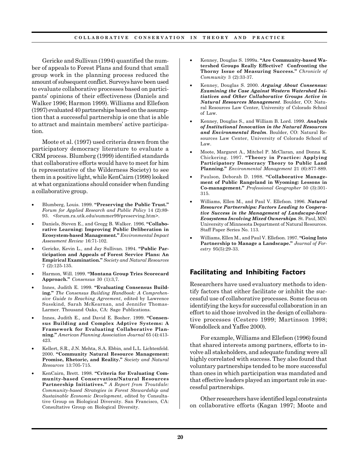Gericke and Sullivan (1994) quantified the number of appeals to Forest Plans and found that small group work in the planning process reduced the amount of subsequent conflict. Surveys have been used to evaluate collaborative processes based on participants' opinions of their effectiveness (Daniels and Walker 1996; Harmon 1999). Williams and Ellefson (1997) evaluated 40 partnerships based on the assumption that a successful partnership is one that is able to attract and maintain members' active participation.

Moote et al. (1997) used criteria drawn from the participatory democracy literature to evaluate a CRM process. Blumberg (1999) identified standards that collaborative efforts would have to meet for him (a representative of the Wilderness Society) to see them in a positive light, while KenCairn (1998) looked at what organizations should consider when funding a collaborative group.

- Blumberg, Louis. 1999. **"Preserving the Public Trust."** *Forum for Applied Research and Public Policy* 14 (2):89- 93. <forum.ra.utk.edu/summer99/preserving.htm>.
- Daniels, Steven E., and Gregg B. Walker. 1996. **"Collaborative Learning: Improving Public Deliberation in Ecosystem-based Management."** *Environmental Impact Assessment Review* 16:71-102.
- Gericke, Kevin L., and Jay Sullivan. 1994. **"Public Participation and Appeals of Forest Service Plans: An Empirical Examination."** *Society and Natural Resources* 7 (2):125-135.
- Harmon, Will. 1999. **"Montana Group Tries Scorecard Approach."** *Consensus* 30 (1):3,7.
- Innes, Judith E. 1999. **"Evaluating Consensus Building."** *The Consensus Building Handbook: A Comprehensive Guide to Reaching Agreement*, edited by Lawrence Susskind, Sarah McKearnan, and Jennifer Thomas-Larmer. Thousand Oaks, CA: Sage Publications.
- Innes, Judith E., and David E. Booher. 1999. **"Consensus Building and Complex Adptive Systems: A Framework for Evaluating Collaborative Planning."** *American Planning Association Journal* 65 (4):413- 423.
- Kellert, S.R., J.N. Mehta, S.A. Ebbin, and L.L. Lichtenfeld. 2000. **"Community Natural Resource Management: Promise, Rhetoric, and Reality."** *Society and Natural Resources* 13:705-715.
- KenCairn, Brett. 1998. **"Criteria for Evaluating Community-based Conservation/Natural Resources Partnership Initiatives."** *A Report from Troutdale: Community-based Strategies in Forest Stewardship and Sustainable Economic Development*, edited by Consultative Group on Biological Diversity. San Francisco, CA: Consultative Group on Biological Diversity.
- Kenney, Douglas S. 1999a. **"Are Community-based Watershed Groups Really Effective? Confronting the Thorny Issue of Measuring Success."** *Chronicle of Community* 3 (2):33-37.
- Kenney, Douglas S. 2000. *Arguing About Consensus: Examining the Case Against Western Watershed Initiatives and Other Collaborative Groups Active in Natural Resources Management*. Boulder, CO: Natural Resources Law Center, University of Colorado School of Law.
- Kenney, Douglas S., and William B. Lord. 1999. *Analysis of Institutional Innovation in the Natural Resources and Environmental Realm*. Boulder, CO: Natural Resources Law Center, University of Colorado School of Law.
- Moote, Margaret A., Mitchel P. McClaran, and Donna K. Chickering. 1997. **"Theory in Practice: Applying Participatory Democracy Theory to Public Land Planning."** *Environmental Management* 21 (6):877-889.
- Paulson, Deborah D. 1998. **"Collaborative Management of Public Rangeland in Wyoming: Lessons in Co-management."** *Professional Geographer* 50 (3):301- 315.
- Williams, Ellen M., and Paul V. Ellefson. 1996. *Natural Resource Partnerships: Factors Leading to Cooperative Success in the Management of Landscape-level Ecosystems Involving Mixed Ownerships*. St. Paul, MN: University of Minnesota Department of Natural Resources. Staff Paper Series No. 113.
- Williams, Ellen M., and Paul V. Ellefson. 1997. **"Going Into Partnership to Manage a Landscape."** *Journal of Forestry* 95(5):29-33.

## **Facilitating and Inhibiting Factors**

Researchers have used evaluatory methods to identify factors that either facilitate or inhibit the successful use of collaborative processes. Some focus on identifying the keys for successful collaboration in an effort to aid those involved in the design of collaborative processes (Cestero 1999; Martinson 1998; Wondolleck and Yaffee 2000).

For example, Williams and Ellefson (1996) found that shared interests among partners, efforts to involve all stakeholders, and adequate funding were all highly correlated with success. They also found that voluntary partnerships tended to be more successful than ones in which participation was mandated and that effective leaders played an important role in successful partnerships.

Other researchers have identified legal constraints on collaborative efforts (Kagan 1997; Moote and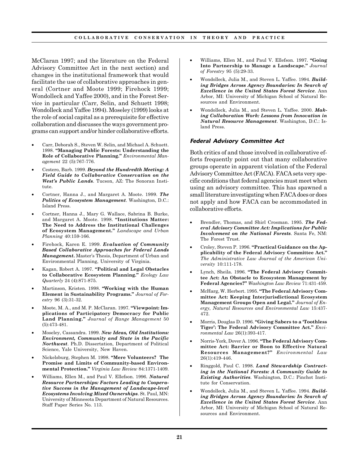McClaran 1997; and the literature on the Federal Advisory Committee Act in the next section) and changes in the institutional framework that would facilitate the use of collaborative approaches in general (Cortner and Moote 1999; Firehock 1999; Wondolleck and Yaffee 2000), and in the Forest Service in particular (Carr, Selin, and Schuett 1998; Wondolleck and Yaffee 1994). Moseley (1999) looks at the role of social capital as a prerequisite for effective collaboration and discusses the ways government programs can support and/or hinder collaborative efforts.

- Carr, Deborah S., Steven W. Selin, and Michael A. Schuett. 1998. **"Managing Public Forests: Understanding the Role of Collaborative Planning."** *Environmental Management* 22 (5):767-776.
- Cestero, Barb. 1999. *Beyond the Hundredth Meeting: A Field Guide to Collaborative Conservation on the West's Public Lands*. Tucson, AZ: The Sonoran Institute.
- Cortner, Hanna J., and Margaret A. Moote. 1999. *The Politics of Ecosystem Management*. Washington, D.C.: Island Press.
- Cortner, Hanna J., Mary G. Wallace, Sabrina B. Burke, and Margaret A. Moote. 1998. **"Institutions Matter: The Need to Address the Institutional Challenges of Ecosystem Management."** *Landscape and Urban Planning* 40:159-166.
- Firehock, Karen E. 1999. *Evaluation of Community Based Collaborative Approaches for Federal Lands Management***.** Master's Thesis, Department of Urban and Environmental Planning, University of Virginia.
- Kagan, Robert A. 1997. **"Political and Legal Obstacles to Collaborative Ecosystem Planning."** *Ecology Law Quarterly* 24 (4):871-875.
- Martinson, Kristen. 1998. **"Working with the Human Element in Sustainability Programs."** *Journal of Forestry* 96 (3):31-32.
- Moote, M. A., and M. P. McClaran. 1997. **"Viewpoint: Implications of Participatory Democracy for Public Land Planning."** *Journal of Range Management* 50 (5):473-481.
- Moseley, Cassandra. 1999. *New Ideas, Old Institutions: Environment, Community and State in the Pacific Northwest*. Ph.D. Dissertation, Department of Political Science, Yale University, New Haven.
- Nickelsburg, Stephen M. 1998. **"Mere Volunteers? The Promise and Limits of Community-based Environmental Protection."** *Virginia Law Review* 84:1371-1409.
- Williams, Ellen M., and Paul V. Ellefson. 1996. *Natural Resource Partnerships: Factors Leading to Cooperative Success in the Management of Landscape-level Ecosystems Involving Mixed Ownerships*. St. Paul, MN: University of Minnesota Department of Natural Resources. Staff Paper Series No. 113.
- Williams, Ellen M., and Paul V. Ellefson. 1997. **"Going Into Partnership to Manage a Landscape."** *Journal of Forestry* 95 (5):29-33.
- Wondolleck, Julia M., and Steven L. Yaffee. 1994. *Building Bridges Across Agency Boundaries: In Search of Excellence in the United States Forest Service*. Ann Arbor, MI: University of Michigan School of Natural Resources and Environment.
- Wondolleck, Julia M., and Steven L. Yaffee. 2000. *Making Collaboration Work: Lessons from Innovation in Natural Resource Management*. Washington, D.C.: Island Press.

#### **Federal Advisory Committee Act**

Both critics of and those involved in collaborative efforts frequently point out that many collaborative groups operate in apparent violation of the Federal Advisory Committee Act (FACA). FACA sets very specific conditions that federal agencies must meet when using an advisory committee. This has spawned a small literature investigating when FACA does or does not apply and how FACA can be accommodated in collaborative efforts.

- Brendler, Thomas, and Shirl Crosman. 1995. *The Federal Advisory Committee Act: Implications for Public Involvement on the National Forests*. Santa Fe, NM: The Forest Trust.
- Croley, Steven P. 1996. **"Practical Guidance on the Applicability of the Federal Advisory Committee Act."** *The Administrative Law Journal of the American University* 10:111-178.
- Lynch, Sheila. 1996. "The Federal Advisory Commit**tee Act: An Obstacle to Ecosystem Management by Federal Agencies?"** *Washington Law Review* 71:431-459.
- McHarg, W. Herbert. 1995. **"The Federal Advisory Committee Act: Keeping Interjurisdictional Ecosystem Management Groups Open and Legal."** *Journal of Energy, Natural Resources and Environmental Law* 15:437- 472.
- Morris, Douglas D. 1996. **"Giving Sabers to a 'Toothless Tiger': The Federal Advisory Committee Act."** *Environmental Law* 26(1):393-417.
- Norris-York, Dover A. 1996. **"The Federal Advisory Committee Act: Barrier or Boon to Effective Natural Resources Management?"** *Environmental Law* 26(1):419-446.
- Ringgold, Paul C. 1998. *Land Stewardship Contracting in the National Forests: A Community Guide to Existing Authorities*. Washington, D.C.: Pinchot Institute for Conservation.
- Wondolleck, Julia M., and Steven L. Yaffee. 1994. *Building Bridges Across Agency Boundaries: In Search of Excellence in the United States Forest Service*. Ann Arbor, MI: University of Michigan School of Natural Resources and Environment.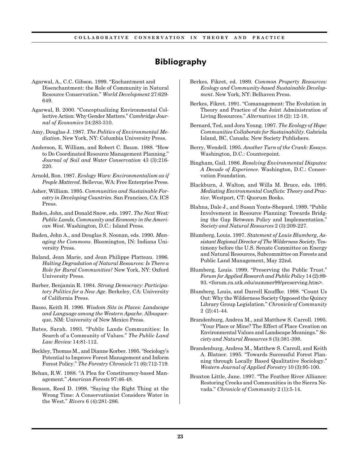# **Bibliography**

- Agarwal, A., C.C. Gibson. 1999. "Enchantment and Disenchantment: the Role of Community in Natural Resource Conservation." *World Development* 27:629- 649.
- Agarwal, B. 2000. "Conceptualizing Environmental Collective Action: Why Gender Matters." *Cambridge Journal of Economics* 24:283-310.
- Amy, Douglas J. 1987. *The Politics of Environmental Mediation*. New York, NY: Columbia University Press.
- Anderson, E. William, and Robert C. Baum. 1988. "How to Do Coordinated Resource Management Planning." *Journal of Soil and Water Conservation* 43 (3):216- 220.
- Arnold, Ron. 1987. *Ecology Wars: Environmentalism as if People Mattered*. Bellevue, WA: Free Enterprise Press.
- Asher, William. 1995. *Communities and Sustainable Forestry in Developing Countries*. San Francisco, CA: ICS Press.
- Baden, John, and Donald Snow, eds. 1997. *The Next West: Public Lands, Community and Economy in the American West*. Washington, D.C.: Island Press.
- Baden, John A., and Douglas S. Noonan, eds. 1990. *Managing the Commons*. Bloomington, IN: Indiana University Press.
- Baland, Jean Marie, and Jean Philippe Platteau. 1996. *Halting Degradation of Natural Resources: Is There a Role for Rural Communities?* New York, NY: Oxford University Press.
- Barber, Benjamin R. 1984. *Strong Democracy: Participatory Politics for a New Age*. Berkeley, CA: University of California Press.
- Basso, Keith H. 1996. *Wisdom Sits in Places: Landscape and Language among the Western Apache*. Albuquerque, NM: University of New Mexico Press.
- Bates, Sarah. 1993. "Public Lands Communities: In Search of a Community of Values." *The Public Land Law Review* 14:81-112.
- Beckley, Thomas M., and Dianne Korber. 1995. "Sociology's Potential to Improve Forest Management and Inform Forest Policy." *The Forestry Chronicle* 71 (6):712-719.
- Behan, R.W. 1988. "A Plea for Constituency-based Management." *American Forests* 97:46-48.
- Benson, Reed D. 1998. "Saying the Right Thing at the Wrong Time: A Conservationist Considers Water in the West." *Rivers* 6 (4):281-286.
- Berkes, Fikret, ed. 1989. *Common Property Resources: Ecology and Community-based Sustainable Development*. New York, NY: Belhaven Press.
- Berkes, Fikret. 1991. "Comanagement: The Evolution in Theory and Practice of the Joint Administration of Living Resources." *Alternatives* 18 (2): 12-18.
- Bernard, Ted, and Jora Young. 1997. *The Ecology of Hope: Communities Collaborate for Sustainability*. Gabriola Island, BC, Canada: New Society Publishers.
- Berry, Wendell. 1995. *Another Turn of the Crank: Essays*. Washington, D.C.: Counterpoint.
- Bingham, Gail. 1986. *Resolving Environmental Disputes: A Decade of Experience*. Washington, D.C.: Conservation Foundation.
- Blackburn, J. Walton, and Willa M. Bruce, eds. 1995. *Mediating Environmental Conflicts: Theory and Practice*. Westport, CT: Quorum Books.
- Blahna, Dale J., and Susan Yonts-Shepard. 1989. "Public Involvement in Resource Planning: Towards Bridging the Gap Between Policy and Implementation." *Society and Natural Resources* 2 (3):209-227.
- Blumberg, Louis. 1997. *Statement of Louis Blumberg, Assistant Regional Director of The Wilderness Society.* Testimony before the U.S. Senate Committee on Energy and Natural Resources, Subcommittee on Forests and Public Land Management, May 22nd.
- Blumberg, Louis. 1999. "Preserving the Public Trust." *Forum for Applied Research and Public Policy* 14 (2):89- 93. <forum.ra.utk.edu/summer99/preserving.htm>.
- Blumberg, Louis, and Darrell Knuffke. 1998. "Count Us Out: Why the Wilderness Society Opposed the Quincy Library Group Legislation." *Chronicle of Community* 2 (2):41-44.
- Brandenburg, Andrea M., and Matthew S. Carroll. 1995. "Your Place or Mine? The Effect of Place Creation on Environmental Values and Landscape Meanings." *Society and Natural Resources* 8 (5):381-398.
- Brandenburg, Andrea M., Matthew S. Carroll, and Keith A. Blatner. 1995. "Towards Successful Forest Planning through Locally Based Qualitative Sociology." *Western Journal of Applied Forestry* 10 (3):95-100.
- Braxton Little, Jane. 1997. "The Feather River Alliance: Restoring Creeks and Communities in the Sierra Nevada." *Chronicle of Community* 2 (1):5-14.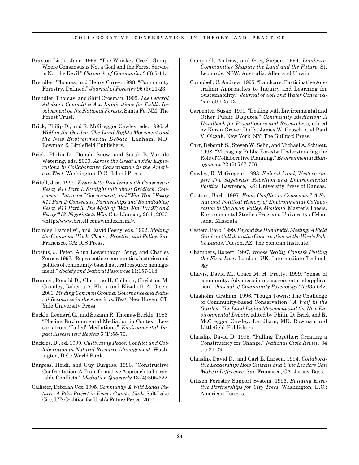- Braxton Little, Jane. 1999. "The Whiskey Creek Group: Where Consensus is Not a Goal and the Forest Service is Not the Devil." *Chronicle of Community* 3 (3):5-11.
- Brendler, Thomas, and Henry Carey. 1998. "Community Forestry, Defined." *Journal of Forestry* 96 (3):21-23.
- Brendler, Thomas, and Shirl Crosman. 1995. *The Federal Advisory Committee Act: Implications for Public Involvement on the National Forests*. Santa Fe, NM: The Forest Trust.
- Brick, Philip D., and R. McGreggor Cawley, eds. 1996. *A Wolf in the Garden: The Land Rights Movement and the New Environmental Debate*. Lanham, MD: Rowman & Littlefield Publishers.
- Brick, Philip D., Donald Snow, and Sarah B. Van de Wetering, eds. 2000. *Across the Great Divide: Explorations in Collaborative Conservation in the American West*. Washington, D.C.: Island Press.
- Britell, Jim. 1999. *Essay #10: Problems with Consensus; Essay #11 Part 1: Straight talk about Gridlock, Consensus, "Intrusive" Government, and "Win-Win;" Essay #11 Part 2: Consensus, Partnerships and Roundtables; Essay #11 Part 3: The Myth of "Win Win"10/97; and Essay #12: Negotiate to Win.* Cited January 26th, 2000. <http://www.britell.com/windex.html>.
- Bromley, Daniel W., and David Feeny, eds. 1992. *Making the Commons Work: Theory, Practice, and Policy*. San Francisco, CA: ICS Press.
- Brosius, J. Peter, Anna Lowenhaupt Tsing, and Charles Zerner. 1997. "Representing communities: histories and politics of community-based natural resource management." *Society and Natural Resources* 11:157-168.
- Brunner, Ronald D., Christine H. Colburn, Christina M. Cromley, Roberta A. Klein, and Elizabeth A. Olsen. 2001. *Finding Common Ground: Governance and Natural Resources in the American West.* New Haven, CT: Yale University Press.
- Buckle, Leonard G., and Suzann R. Thomas-Buckle. 1986. "Placing Environmental Mediation in Context: Lessons from 'Failed' Mediations." *Environmental Impact Assessment Review* 6 (1):55-70.
- Buckles, D., ed. 1999. *Cultivating Peace: Conflict and Collaboration in Natural Resource Management*. Washington, D.C.: World Bank.
- Burgess, Heidi, and Guy Burgess. 1996. "Constructive Confrontation: A Transformative Approach to Intractable Conflicts." *Mediation Quarterly* 13 (4):305-322.
- Callister, Deborah Cox. 1995. *Community & Wild Lands Futures: A Pilot Project in Emery County, Utah*. Salt Lake City, UT: Coalition for Utah's Future Project 2000.
- Campbell, Andrew, and Greg Siepen. 1994. *Landcare: Communities Shaping the Land and the Future*. St. Leonards, NSW, Australia: Allen and Unwin.
- Campbell, C. Andrew. 1995. "Landcare: Participative Australian Approaches to Inquiry and Learning for Sustainability." *Journal of Soil and Water Conservation* 50:125-131.
- Carpenter, Susan. 1991. "Dealing with Environmental and Other Public Disputes." *Community Mediation: A Handbook for Practitioners and Researchers*, edited by Karen Grover Duffy, James W. Grosch, and Paul V. Olczak. New York, NY: The Guilford Press.
- Carr, Deborah S., Steven W. Selin, and Michael A. Schuett. 1998. "Managing Public Forests: Understanding the Role of Collaborative Planning." *Environmental Management* 22 (5):767-776.
- Cawley, R. McGreggor. 1993. *Federal Land, Western Anger: The Sagebrush Rebellion and Environmental Politics*. Lawrence, KS: University Press of Kansas.
- Cestero, Barb. 1997. *From Conflict to Consensus? A Social and Political History of Environmental Collaboration in the Swan Valley, Montana*. Master's Thesis, Environmental Studies Program, University of Montana, Missoula.
- Cestero, Barb. 1999. *Beyond the Hundredth Meeting: A Field Guide to Collaborative Conservation on the West's Public Lands*. Tucson, AZ: The Sonoran Institute.
- Chambers, Robert. 1997. *Whose Reality Counts? Putting the First Last*. London, UK: Intermediate Technology.
- Chavis, David M., Grace M. H. Pretty. 1999. "Sense of community: Advances in measurement and application." *Journal of Community Psychology* 27:635-642.
- Chisholm, Graham. 1996. "Tough Towns: The Challenge of Community-based Conservation." *A Wolf in the Garden: The Land Rights Movement and the New Environmental Debate*, edited by Philip D. Brick and R. McGreggor Cawley. Landham, MD: Rowman and Littlefield Publishers.
- Chrislip, David D. 1995. "Pulling Together: Creating a Constituency for Change." *National Civic Review* 84 (1):21-29.
- Chrislip, David D., and Carl E. Larson. 1994. *Collaborative Leadership: How Citizens and Civic Leaders Can Make a Difference*. San Francisco, CA: Jossey-Bass.
- Citizen Forestry Support System. 1996. *Building Effective Partnerships for City Trees*. Washington, D.C.: American Forests.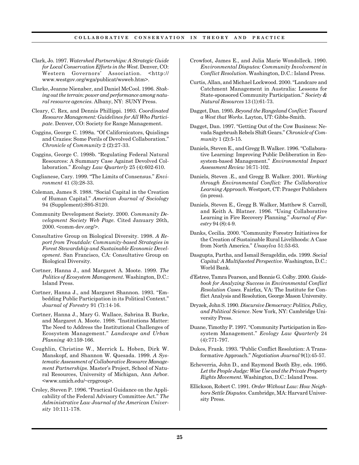- Clark, Jo. 1997. *Watershed Partnerships: A Strategic Guide for Local Conservation Efforts in the West*. Denver, CO: Western Governors' Association. <http:// www.westgov.org/wga/publicat/wsweb.htm>.
- Clarke, Jeanne Nienaber, and Daniel McCool. 1996. *Staking out the terrain: power and performance among natural resource agencies.* Albany, NY: SUNY Press.
- Cleary, C. Rex, and Dennis Phillippi. 1993. *Coordinated Resource Management: Guidelines for All Who Participate*. Denver, CO: Society for Range Management.
- Coggins, George C. 1998a. "Of Californicators, Quislings and Crazies: Some Perils of Devolved Collaboration." *Chronicle of Community* 2 (2):27-33.
- Coggins, George C. 1998b. "Regulating Federal Natural Resources: A Summary Case Against Devolved Collaboration." *Ecology Law Quarterly* 25 (4):602-610.
- Coglianese, Cary. 1999. "The Limits of Consensus." *Environment* 41 (3):28-33.
- Coleman, James S. 1988. "Social Capital in the Creation of Human Capital." *American Journal of Sociology* 94 (Supplement):S95-S120.
- Community Development Society. 2000. *Community Development Society Web Page.* Cited January 26th, 2000. <comm-dev.org/>.
- Consultative Group on Biological Diversity. 1998. *A Report from Troutdale: Community-based Strategies in Forest Stewardship and Sustainable Economic Development*. San Francisco, CA: Consultative Group on Biological Diversity.
- Cortner, Hanna J., and Margaret A. Moote. 1999. *The Politics of Ecosystem Management*. Washington, D.C.: Island Press.
- Cortner, Hanna J., and Margaret Shannon. 1993. "Embedding Public Participation in its Political Context." *Journal of Forestry* 91 (7):14-16.
- Cortner, Hanna J., Mary G. Wallace, Sabrina B. Burke, and Margaret A. Moote. 1998. "Institutions Matter: The Need to Address the Institutional Challenges of Ecosystem Management." *Landscape and Urban Planning* 40:159-166.
- Coughlin, Christine W., Merrick L. Hoben, Dirk W. Manskopf, and Shannon W. Quesada. 1999. *A Systematic Assessment of Collaborative Resource Management Partnerships*. Master's Project, School of Natural Resources, University of Michigan, Ann Arbor. <www.umich.edu/~crpgroup>.
- Croley, Steven P. 1996. "Practical Guidance on the Applicability of the Federal Advisory Committee Act." *The Administrative Law Journal of the American University* 10:111-178.
- Crowfoot, James E., and Julia Marie Wondolleck. 1990. *Environmental Disputes: Community Involvement in Conflict Resolution*. Washington, D.C.: Island Press.
- Curtis, Allan, and Michael Lockwood. 2000. "Landcare and Catchment Management in Australia: Lessons for State-sponsored Community Participation." *Society & Natural Resources* 13 (1):61-73.
- Dagget, Dan. 1995. *Beyond the Rangeland Conflict: Toward a West that Works*. Layton, UT: Gibbs-Smith.
- Dagget, Dan. 1997. "Getting Out of the Cow Business: Nevada Sagebrush Rebels Shift Gears." *Chronicle of Community* 1 (2):5-15.
- Daniels, Steven E., and Gregg B. Walker. 1996. "Collaborative Learning: Improving Public Deliberation in Ecosystem-based Management." *Environmental Impact Assessment Review* 16:71-102.
- Daniels, Steven .E., and Gregg B. Walker. 2001. *Working through Environmental Conflict: The Collaborative Learning Approach*. Westport, CT: Praeger Publishers (in press).
- Daniels, Steven E., Gregg B. Walker, Matthew S. Carroll, and Keith A. Blatner. 1996. "Using Collaborative Learning in Fire Recovery Planning." *Journal of Forestry* 94 (8):4-9.
- Danks, Cecilia. 2000. "Community Forestry Initiatives for the Creation of Sustainable Rural Livelihoods: A Case from North America." *Unasylva* 51:53-63.
- Dasgupta, Partha, and Ismail Serageldin, eds. 1999. *Social Capital: A Multifaceted Perspective*. Washington, D.C.: World Bank.
- d'Estree, Tamra Pearson, and Bonnie G. Colby. 2000. *Guidebook for Analyzing Success in Environmental Conflict Resolution Cases.* Fairfax, VA: The Institute for Conflict Analysis and Resolution, George Mason University.
- Dryzek, John S. 1990. *Discursive Democracy: Politics, Policy, and Political Science*. New York, NY: Cambridge University Press.
- Duane, Timothy P. 1997. "Community Participation in Ecosystem Management." *Ecology Law Quarterly* 24 (4):771-797.
- Dukes, Frank. 1993. "Public Conflict Resolution: A Transformative Approach." *Negotiation Journal* 9(1):45-57.
- Echeverria, John D., and Raymond Booth Eby, eds. 1995. *Let the People Judge: Wise Use and the Private Property Rights Movement*. Washington, D.C.: Island Press.
- Ellickson, Robert C. 1991. *Order Without Law: How Neighbors Settle Disputes*. Cambridge, MA: Harvard University Press.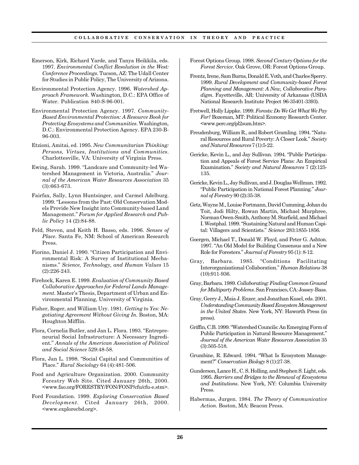- Emerson, Kirk, Richard Yarde, and Tanya Heikkila, eds. 1997. *Environmental Conflict Resolution in the West: Conference Proceedings*. Tucson, AZ: The Udall Center for Studies in Public Policy, The University of Arizona.
- Environmental Protection Agency. 1996. *Watershed Approach Framework*. Washington, D.C.: EPA Office of Water. Publication 840-S-96-001.
- Environmental Protection Agency. 1997. *Community-Based Environmental Protection: A Resource Book for Protecting Ecosystems and Communities*. Washington, D.C.: Environmental Protection Agency. EPA 230-B-96-003.
- Etzioni, Amitai, ed. 1995. *New Communitarian Thinking: Persons, Virtues, Institutions and Communities*. Charlottesville, VA: University of Virginia Press.
- Ewing, Sarah. 1999. "Landcare and Community-led Watershed Management in Victoria, Australia." *Journal of the American Water Resources Association* 35 (3):663-673.
- Fairfax, Sally, Lynn Huntsinger, and Carmel Adelburg. 1999. "Lessons from the Past: Old Conservation Models Provide New Insight into Community-based Land Management." *Forum for Applied Research and Public Policy* 14 (2):84-88.
- Feld, Steven, and Keith H. Basso, eds. 1996. *Senses of Place*. Santa Fe, NM: School of American Research Press.
- Fiorino, Daniel J. 1990. "Citizen Participation and Environmental Risk: A Survey of Institutional Mechanisms." *Science, Technology, and Human Values* 15 (2):226-243.
- Firehock, Karen E. 1999. *Evaluation of Community Based Collaborative Approaches for Federal Lands Management*. Master's Thesis, Department of Urban and Environmental Planning, University of Virginia.
- Fisher, Roger, and William Ury. 1981. *Getting to Yes: Negotiating Agreement Without Giving In*. Boston, MA: Houghton Mifflin.
- Flora, Cornelia Butler, and Jan L. Flora. 1993. "Entrepreneurial Social Infrastructure: A Necessary Ingredient." *Annals of the American Association of Political and Social Science* 529:48-58.
- Flora, Jan L. 1998. "Social Capital and Communities of Place." *Rural Sociology* 64 (4):481-506.
- Food and Agriculture Organization. 2000. Community Forestry Web Site*.* Cited January 26th, 2000. <www.fao.org/FORESTRY/FON/FONP/cfu/cfu-e.stm>.
- Ford Foundation. 1999. *Exploring Conservation Based Development.* Cited January 26th, 2000. <www.explorecbd.org>.
- Forest Options Group. 1998. *Second Century Options for the Forest Service*. Oak Grove, OR: Forest Options Group.
- Frentz, Irene, Sam Burns, Donald E. Voth, and Charles Sperry. 1999. *Rural Development and Community-based Forest Planning and Management: A New, Collaborative Paradigm*. Fayetteville, AR: University of Arkansas (USDA National Research Institute Project 96-35401-3393).
- Fretwell, Holly Lippke. 1999. *Forests: Do We Get What We Pay For?* Bozeman, MT: Political Economy Research Center. <www.perc.org/pl2sum.htm>.
- Freudenburg, William R., and Robert Gramling. 1994. "Natural Resources and Rural Poverty: A Closer Look." *Society and Natural Resources* 7 (1):5-22.
- Gericke, Kevin L., and Jay Sullivan. 1994. "Public Participation and Appeals of Forest Service Plans: An Empirical Examination." *Society and Natural Resources* 7 (2):125- 135.
- Gericke, Kevin L., Jay Sullivan, and J. Douglas Wellman. 1992. "Public Participation in National Forest Planning." *Journal of Forestry* 90 (2):35-38.
- Getz, Wayne M., Louise Fortmann, David Cumming, Johan du Toit, Jodi Hilty, Rowan Martin, Michael Murphree, Norman Owen-Smith, Anthony M. Starfield, and Michael I. Westphal. 1999. "Sustaining Natural and Human Capital: Villagers and Scientists." *Science* 283:1855-1856.
- Goergen, Michael T., Donald W. Floyd, and Peter G. Ashton. 1997. "An Old Model for Building Consensus and a New Role for Foresters." *Journal of Forestry* 95 (1): 8-12.
- Gray, Barbara. 1985. "Conditions Facilitating Interorganizational Collaboration." *Human Relations* 38 (10):911-936.
- Gray, Barbara. 1989. *Collaborating: Finding Common Ground for Multiparty Problems*. San Francisco, CA: Jossey-Bass.
- Gray, Gerry J., Maia J. Enzer, and Jonathan Kusel, eds. 2001. *Understanding Community Based Ecosystem Management in the United States*. New York, NY: Haworth Press (in press).
- Griffin, C.B. 1999. "Watershed Councils: An Emerging Form of Public Participation in Natural Resource Management." *Journal of the American Water Resources Association* 35 (3):505-518.
- Grumbine, R. Edward. 1994. "What Is Ecosystem Management?" *Conservation Biology* 8 (1):27-38.
- Gunderson, Lance H., C. S. Holling, and Stephen S. Light, eds. 1995. *Barriers and Bridges to the Renewal of Ecosystems and Institutions*. New York, NY: Columbia University Press.
- Habermas, Jurgen. 1984. *The Theory of Communicative Action*. Boston, MA: Beacon Press.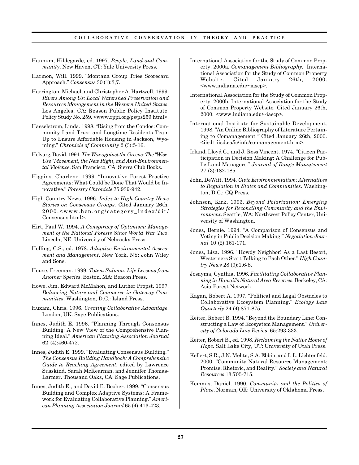- Hannum, Hildegarde, ed. 1997. *People, Land and Community*. New Haven, CT: Yale University Press.
- Harmon, Will. 1999. "Montana Group Tries Scorecard Approach." *Consensus* 30 (1):3,7.
- Harrington, Michael, and Christopher A. Hartwell. 1999. *Rivers Among Us: Local Watershed Preservation and Resources Management in the Western United States*. Los Angeles, CA: Reason Public Policy Institute. Policy Study No. 259. <www.rppi.org/ps/ps259.html>.
- Hasselstrom, Linda. 1998. "Rising from the Condos: Community Land Trust and Longtime Residents Team Up to Ensure Affordable Housing in Jackson, Wyoming." *Chronicle of Community* 2 (3):5-16.
- Helvarg, David. 1994. *The War against the Greens: The "Wise-Use" Movement, the New Right, and Anti-Environmental Violence*. San Francisco, CA: Sierra Club Books.
- Higgins, Charlene. 1999. "Innovative Forest Practice Agreements: What Could be Done That Would be Innovative." *Forestry Chronicle* 75:939-942.
- High Country News. 1996. *Index to High Country News Stories on Consensus Groups.* Cited January 26th, 2000.<www.hcn.org/category\_index/dir/ Consensus.html>.
- Hirt, Paul W. 1994. *A Conspiracy of Optimism: Management of the National Forests Since World War Two*. Lincoln, NE: University of Nebraska Press.
- Holling, C.S., ed. 1978. *Adaptive Environmental Assessment and Management*. New York, NY: John Wiley and Sons.
- House, Freeman. 1999. *Totem Salmon: Life Lessons from Another Species*. Boston, MA: Beacon Press.
- Howe, Jim, Edward McMahon, and Luther Propst. 1997. *Balancing Nature and Commerce in Gateway Communities*. Washington, D.C.: Island Press.
- Huxam, Chris. 1996. *Creating Collaborative Advantage*. London, UK: Sage Publications.
- Innes, Judith E. 1996. "Planning Through Consensus Building: A New View of the Comprehensive Planning Ideal." *American Planning Association Journal* 62 (4):460-472.
- Innes, Judith E. 1999. "Evaluating Consensus Building." *The Consensus Building Handbook: A Comprehensive Guide to Reaching Agreement*, edited by Lawrence Susskind, Sarah McKearnan, and Jennifer Thomas-Larmer. Thousand Oaks, CA: Sage Publications.
- Innes, Judith E., and David E. Booher. 1999. "Consensus Building and Complex Adaptive Systems: A Framework for Evaluating Collaborative Planning." *American Planning Association Journal* 65 (4):413-423.
- International Association for the Study of Common Property. 2000a. *Comanagement Bibliography.* International Association for the Study of Common Property Website. Cited January 26th, 2000. <www.indiana.edu/~iascp>.
- International Association for the Study of Common Property. 2000b. International Association for the Study of Common Property Website*.* Cited January 26th, 2000. <www.indiana.edu/~iascp>.
- International Institute for Sustainable Development. 1998. "An Online Bibliography of Literature Pertaining to Comanagement*."* Cited January 26th, 2000. <iisd1.iisd.ca/ic/info/co-management.htm>.
- Irland, Lloyd C., and J. Ross Vincent. 1974. "Citizen Participation in Decision Making: A Challenge for Public Land Managers." *Journal of Range Management* 27 (3):182-185.
- John, DeWitt. 1994. *Civic Environmentalism: Alternatives to Regulation in States and Communities*. Washington, D.C.: CQ Press.
- Johnson, Kirk. 1993. *Beyond Polarization: Emerging Strategies for Reconciling Community and the Environment*. Seattle, WA: Northwest Policy Center, University of Washington.
- Jones, Bernie. 1994. "A Comparison of Consensus and Voting in Public Decision Making." *Negotiation Journal* 10 (2):161-171.
- Jones, Lisa. 1996. "Howdy Neighbor! As a Last Resort, Westerners Start Talking to Each Other." *High Country News* 28 (9):1,6-8.
- Josayma, Cynthia. 1996. *Facilitating Collaborative Planning in Hawaii's Natural Area Reserves*. Berkeley, CA: Asia Forest Network.
- Kagan, Robert A. 1997. "Political and Legal Obstacles to Collaborative Ecosystem Planning." *Ecology Law Quarterly* 24 (4):871-875.
- Keiter, Robert B. 1994. "Beyond the Boundary Line: Constructing a Law of Ecosystem Management." *University of Colorado Law Review* 65:293-333.
- Keiter, Robert B., ed. 1998. *Reclaiming the Native Home of Hope*. Salt Lake City, UT: University of Utah Press.
- Kellert, S.R., J.N. Mehta, S.A. Ebbin, and L.L. Lichtenfeld. 2000. "Community Natural Resource Management: Promise, Rhetoric, and Reality." *Society and Natural Resources* 13:705-715.
- Kemmis, Daniel. 1990. *Community and the Politics of Place*. Norman, OK: University of Oklahoma Press.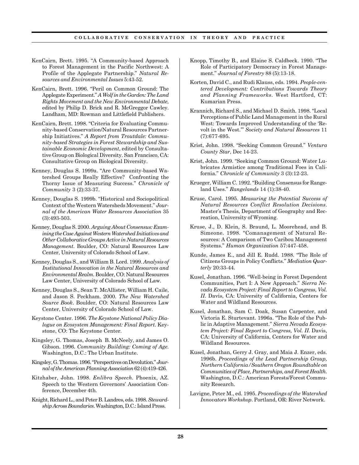- KenCairn, Brett. 1995. "A Community-based Approach to Forest Management in the Pacific Northwest: A Profile of the Applegate Partnership." *Natural Resources and Environmental Issues* 5:43-52.
- KenCairn, Brett. 1996. "Peril on Common Ground: The Applegate Experiment." *A Wolf in the Garden: The Land Rights Movement and the New Environmental Debate*, edited by Philip D. Brick and R. McGreggor Cawley. Landham, MD: Rowman and Littlefield Publishers.
- KenCairn, Brett. 1998. "Criteria for Evaluating Community-based Conservation/Natural Resources Partnership Initiatives." *A Report from Troutdale: Community-based Strategies in Forest Stewardship and Sustainable Economic Development*, edited by Consultative Group on Biological Diversity. San Francisco, CA: Consultative Group on Biological Diversity.
- Kenney, Douglas S. 1999a. "Are Community-based Watershed Groups Really Effective? Confronting the Thorny Issue of Measuring Success." *Chronicle of Community* 3 (2):33-37.
- Kenney, Douglas S. 1999b. "Historical and Sociopolitical Context of the Western Watersheds Movement." *Journal of the American Water Resources Association* 35 (3):493-503.
- Kenney, Douglas S. 2000. *Arguing About Consensus: Examining the Case Against Western Watershed Initiatives and Other Collaborative Groups Active in Natural Resources Management*. Boulder, CO: Natural Resources Law Center, University of Colorado School of Law.
- Kenney, Douglas S., and William B. Lord. 1999. *Analysis of Institutional Innovation in the Natural Resources and Environmental Realm*. Boulder, CO: Natural Resources Law Center, University of Colorado School of Law.
- Kenney, Douglas S., Sean T. McAllister, William H. Caile, and Jason S. Peckham. 2000. *The New Watershed Source Book*. Boulder, CO: Natural Resources Law Center, University of Colorado School of Law.
- Keystone Center. 1996. *The Keystone National Policy Dialogue on Ecosystem Management: Final Report*. Keystone, CO: The Keystone Center.
- Kingsley, G. Thomas, Joseph B. McNeely, and James O. Gibson. 1996. *Community Building: Coming of Age*. Washington, D.C.: The Urban Institute.
- Kingsley, G. Thomas. 1996. "Perspectives on Devolution." *Journal of the American Planning Association* 62 (4):419-426.
- Kitzhaber, John. 1998. *Enlibra Speech.* Phoenix, AZ. Speech to the Western Governors' Association Conference, December 4th.
- Knight, Richard L., and Peter B. Landres, eds. 1998. *Stewardship Across Boundaries*. Washington, D.C.: Island Press.
- Knopp, Timothy B., and Elaine S. Caldbeck. 1990. "The Role of Participatory Democracy in Forest Management." *Journal of Forestry* 88 (5):13-18.
- Korten, David C., and Rudi Klauss, eds. 1994. *People-centered Development: Contributions Towards Theory and Planning Frameworks*. West Hartford, CT: Kumarian Press.
- Krannich, Richard S., and Michael D. Smith. 1998. "Local Perceptions of Public Land Management in the Rural West: Towards Improved Understanding of the 'Revolt in the West.'" *Society and Natural Resources* 11 (7):677-695.
- Krist, John. 1998. "Seeking Common Ground." *Ventura County Star*, Dec 14-23.
- Krist, John. 1999. "Seeking Common Ground: Water Lubricates Armistice among Traditional Foes in California." *Chronicle of Community* 3 (3):12-23.
- Krueger, William C. 1992. "Building Consensus for Rangeland Uses." *Rangelands* 14 (1):38-40.
- Kruse, Carol. 1995. *Measuring the Potential Success of Natural Resources Conflict Resolution Decisions*. Master's Thesis, Department of Geography and Recreation, University of Wyoming.
- Kruse, J., D. Klein, S. Braund, L. Moorehead, and B. Simeone. 1998. "Comanagement of Natural Resources: A Comparison of Two Caribou Management Systems." *Human Organization* 57:447-458.
- Kunde, James E., and Jill E. Rudd. 1988. "The Role of Citizens Groups in Policy Conflicts." *Mediation Quarterly* 20:33-44.
- Kusel, Jonathan. 1996. "Well-being in Forest Dependent Communities, Part I: A New Approach." *Sierra Nevada Ecosystem Project: Final Report to Congress, Vol. II*. Davis, CA: University of California, Centers for Water and Wildland Resources.
- Kusel, Jonathan, Sam C. Doak, Susan Carpenter, and Victoria E. Sturtevant. 1996a. "The Role of the Public in Adaptive Management." *Sierra Nevada Ecosystem Project: Final Report to Congress, Vol. II*. Davis, CA: University of California, Centers for Water and Wildland Resources.
- Kusel, Jonathan, Gerry J. Gray, and Maia J. Enzer, eds. 1996b. *Proceedings of the Lead Partnership Group, Northern California/Southern Oregon Roundtable on Communities of Place, Partnerships, and Forest Health*. Washington, D.C.: American Forests/Forest Community Research.
- Lavigne, Peter M., ed. 1995. *Proceedings of the Watershed Innovators Workshop*. Portland, OR: River Network.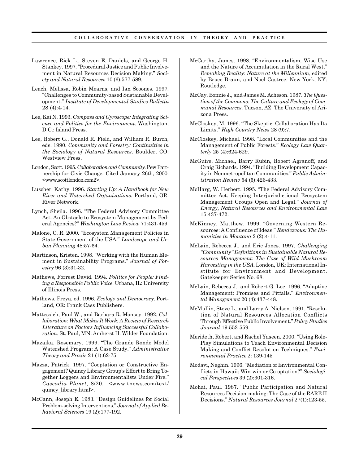- Lawrence, Rick L., Steven E. Daniels, and George H. Stankey. 1997. "Procedural Justice and Public Involvement in Natural Resources Decision Making." *Society and Natural Resources* 10 (6):577-589.
- Leach, Melissa, Robin Mearns, and Ian Scoones. 1997. "Challenges to Community-based Sustainable Development." *Institute of Developmental Studies Bulletin* 28 (4):4-14.
- Lee, Kai N. 1993. *Compass and Gyroscope: Integrating Science and Politics for the Environment*. Washington, D.C.: Island Press.
- Lee, Robert G., Donald R. Field, and William R. Burch, eds. 1990. *Community and Forestry: Continuities in the Sociology of Natural Resources*. Boulder, CO: Westview Press.
- London, Scott. 1995. *Collaboration and Community.* Pew Partnership for Civic Change. Cited January 26th, 2000. <www.scottlondon.com2>.
- Luscher, Kathy. 1996. *Starting Up: A Handbook for New River and Watershed Organizations*. Portland, OR: River Network.
- Lynch, Sheila. 1996. "The Federal Advisory Committee Act: An Obstacle to Ecosystem Management by Federal Agencies?" *Washington Law Review* 71:431-459.
- Malone, C. R. 2000. "Ecosystem Management Policies in State Government of the USA." *Landscape and Urban Planning* 48:57-64.
- Martinson, Kristen. 1998. "Working with the Human Element in Sustainability Programs." *Journal of Forestry* 96 (3):31-32.
- Mathews, Forrest David. 1994. *Politics for People: Finding a Responsible Public Voice*. Urbana, IL: University of Illinois Press.
- Mathews, Freya, ed. 1996. *Ecology and Democracy*. Portland, OR: Frank Cass Publishers.
- Mattessich, Paul W., and Barbara R. Monsey. 1992. *Collaboration: What Makes It Work: A Review of Research Literature on Factors Influencing Successful Collaboration*. St. Paul, MN: Amherst H. Wilder Foundation.
- Mazaika, Rosemary. 1999. "The Grande Ronde Model Watershed Program: A Case Study." *Administrative Theory and Praxis* 21 (1):62-75.
- Mazza, Patrick. 1997. "Cooptation or Constructive Engagement? Quincy Library Group's Effort to Bring Together Loggers and Environmentalists Under Fire." *Cascadia Planet*, 8/20. <www.tnews.com/text/ quincy\_library.html>.
- McCann, Joseph E. 1983. "Design Guidelines for Social Problem-solving Interventions." *Journal of Applied Behavioral Sciences* 19 (2):177-192.
- McCarthy, James. 1998. "Environmentalism, Wise Use and the Nature of Accumulation in the Rural West." *Remaking Reality: Nature at the Millennium*, edited by Bruce Braun, and Noel Castree. New York, NY: Routledge.
- McCay, Bonnie J., and James M. Acheson. 1987. *The Question of the Commons: The Culture and Ecology of Communal Resources*. Tucson, AZ: The University of Arizona Press.
- McCloskey, M. 1996. "The Skeptic: Collaboration Has Its Limits." *High Country News* 28 (9):7.
- McCloskey, Michael. 1998. "Local Communities and the Management of Public Forests." *Ecology Law Quarterly* 25 (4):624-629.
- McGuire, Michael, Barry Rubin, Robert Agranoff, and Craig Richards. 1994. "Building Development Capacity in Nonmetropolitan Communities." *Public Administration Review* 54 (5):426-433.
- McHarg, W. Herbert. 1995. "The Federal Advisory Committee Act: Keeping Interjurisdictional Ecosystem Management Groups Open and Legal." *Journal of Energy, Natural Resources and Environmental Law* 15:437-472.
- McKinney, Matthew. 1999. "Governing Western Resources: A Confluence of Ideas." *Rendezvous: The Humanities in Montana* 2 (2):4-11.
- McLain, Rebecca J., and Eric Jones. 1997. *Challenging "Community" Definitions in Sustainable Natural Resources Management: The Case of Wild Mushroom Harvesting in the USA*. London, UK: International Institute for Environment and Development. Gatekeeper Series No. 68.
- McLain, Rebecca J., and Robert G. Lee. 1996. "Adaptive Management: Promises and Pitfalls." *Environmental Management* 20 (4):437-448.
- McMullin, Steve L., and Larry A. Nielsen. 1991. "Resolution of Natural Resources Allocation Conflicts Through Effective Public Involvement." *Policy Studies Journal* 19:553-559.
- Merideth, Robert, and Rachel Yaseen. 2000. "Using Role-Play Simulations to Teach Environmental Decision Making and Conflict Resolution Techniques." *Environmental Practice* 2: 139-145
- Modavi, Neghin. 1996. "Mediation of Environmental Conflicts in Hawaii: Win-win or Co-optation?" *Sociological Perspectives* 39 (2):301-316.
- Mohai, Paul. 1987. "Public Participation and Natural Resources Decision-making: The Case of the RARE II Decisions." *Natural Resources Journal* 27(1):123-55.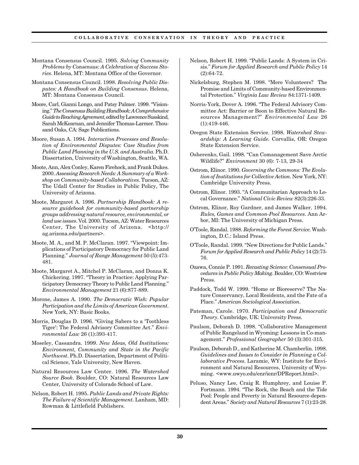- Montana Consensus Council. 1995. *Solving Community Problems by Consensus: A Celebration of Success Stories*. Helena, MT: Montana Office of the Governor.
- Montana Consensus Council. 1998. *Resolving Public Disputes: A Handbook on Building Consensus*. Helena, MT: Montana Consensus Council.
- Moore, Carl, Gianni Longo, and Patsy Palmer. 1999. "Visioning." *The Consensus Building Handbook: A Comprehensive Guide to Reaching Agreement*, edited by Lawrence Susskind, Sarah McKearnan, and Jennifer Thomas-Larmer. Thousand Oaks, CA: Sage Publications.
- Moore, Susan A. 1994. *Interaction Processes and Resolution of Environmental Disputes: Case Studies from Public Land Planning in the U.S. and Australia*. Ph.D. Dissertation, University of Washington, Seattle, WA.
- Moote, Ann, Alex Conley, Karen Firehock, and Frank Dukes. 2000. *Assessing Research Needs: A Summary of a Workshop on Community-based Collaboratives.* Tucson, AZ: The Udall Center for Studies in Public Policy, The University of Arizona.
- Moote, Margaret A. 1996. *Partnership Handbook: A resource guidebook for community-based partnership groups addressing natural resource, environmental, or land use issues*. Vol. 2000. Tucson, AZ: Water Resources Center, The University of Arizona. <http:// ag.arizona.edu/partners>.
- Moote, M. A., and M. P. McClaran. 1997. "Viewpoint: Implications of Participatory Democracy for Public Land Planning." *Journal of Range Management* 50 (5):473- 481.
- Moote, Margaret A., Mitchel P. McClaran, and Donna K. Chickering. 1997. "Theory in Practice: Applying Participatory Democracy Theory to Public Land Planning." *Environmental Management* 21 (6):877-889.
- Morone, James A. 1990. *The Democratic Wish: Popular Participation and the Limits of American Government*. New York, NY: Basic Books.
- Morris, Douglas D. 1996. "Giving Sabers to a 'Toothless Tiger': The Federal Advisory Committee Act." *Environmental Law* 26 (1):393-417.
- Moseley, Cassandra. 1999. *New Ideas, Old Institutions: Environment, Community and State in the Pacific Northwest*. Ph.D. Dissertation, Department of Political Science, Yale University, New Haven.
- Natural Resources Law Center. 1996. *The Watershed Source Book*. Boulder, CO: Natural Resources Law Center, University of Colorado School of Law.
- Nelson, Robert H. 1995. *Public Lands and Private Rights: The Failure of Scientific Management*. Lanham, MD: Rowman & Littlefield Publishers.
- Nelson, Robert H. 1999. "Public Lands: A System in Crisis." *Forum for Applied Research and Public Policy* 14 (2):64-72.
- Nickelsburg, Stephen M. 1998. "Mere Volunteers? The Promise and Limits of Community-based Environmental Protection." *Virginia Law Review* 84:1371-1409.
- Norris-York, Dover A. 1996. "The Federal Advisory Committee Act: Barrier or Boon to Effective Natural Resources Management?" *Environmental Law* 26 (1):419-446.
- Oregon State Extension Service. 1998. *Watershed Stewardship: A Learning Guide*. Corvallis, OR: Oregon State Extension Service.
- Osherenko, Gail. 1998. "Can Comanagement Save Arctic Wildlife?" *Environment* 30 (6): 7-13, 29-34
- Ostrom, Elinor. 1990. *Governing the Commons: The Evolution of Institutions for Collective Action*. New York, NY: Cambridge University Press.
- Ostrom, Elinor. 1993. "A Communitarian Approach to Local Governance." *National Civic Review* 82(3):226-33.
- Ostrom, Elinor, Roy Gardner, and James Walker. 1994. *Rules, Games and Common-Pool Resources*. Ann Arbor, MI: The University of Michigan Press.
- O'Toole, Randal. 1988. *Reforming the Forest Service*. Washington, D.C.: Island Press.
- O'Toole, Randal. 1999. "New Directions for Public Lands." *Forum for Applied Research and Public Policy* 14 (2):73- 76.
- Ozawa, Connie P. 1991. *Recasting Science: Consensual Procedures in Public Policy Making*. Boulder, CO: Westview Press.
- Paddock, Todd W. 1999. "Home or Bioreserve? The Nature Conservancy, Local Residents, and the Fate of a Place." *American Sociological Association*.
- Pateman, Carole. 1970. *Participation and Democratic Theory*. Cambridge, UK: University Press.
- Paulson, Deborah D. 1998. "Collaborative Management of Public Rangeland in Wyoming: Lessons in Co-management." *Professional Geographer* 50 (3):301-315.
- Paulson, Deborah D., and Katherine M. Chamberlin. 1998. *Guidelines and Issues to Consider in Planning a Collaborative Process*. Laramie, WY: Institute for Environment and Natural Resources, University of Wyoming. <www.uwyo.edu/enr/ienr/DPReport.html>.
- Peluso, Nancy Lee, Craig R. Humphrey, and Louise P. Fortmann. 1994. "The Rock, the Beach and the Tide Pool: People and Poverty in Natural Resource-dependent Areas." *Society and Natural Resources* 7 (1):23-28.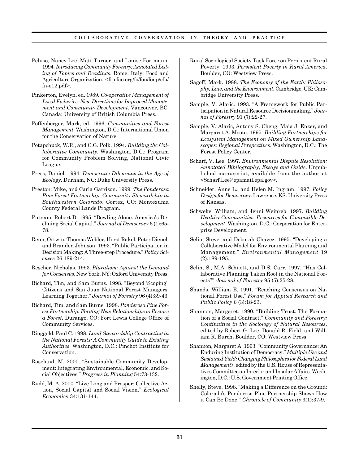- Peluso, Nancy Lee, Matt Turner, and Louise Fortmann. 1994. *Introducing Community Forestry: Annotated Listing of Topics and Readings*. Rome, Italy: Food and Agriculture Organization. <ftp.fao.org/fo/fon/fonp/cfu/  $fn-e12.pdf$ .
- Pinkerton, Evelyn, ed. 1989. *Co-operative Management of Local Fisheries: New Directions for Improved Management and Community Development*. Vancouver, BC, Canada: University of British Columbia Press.
- Poffenberger, Mark, ed. 1996. *Communities and Forest Management*. Washington, D.C.: International Union for the Conservation of Nature.
- Potapchuck, W.R., and C.G. Polk. 1994. *Building the Collaborative Community*. Washington, D.C.: Program for Community Problem Solving, National Civic League.
- Press, Daniel. 1994. *Democratic Dilemmas in the Age of Ecology*. Durham, NC: Duke University Press.
- Preston, Mike, and Carla Garrison. 1999. *The Ponderosa Pine Forest Partnership: Community Stewardship in Southwestern Colorado*. Cortez, CO: Montezuma County Federal Lands Program.
- Putnam, Robert D. 1995. "Bowling Alone: America's Declining Social Capital." *Journal of Democracy* 6 (1):65- 78.
- Renn, Ortwin, Thomas Webler, Horst Rakel, Peter Dienel, and Branden Johnson. 1993. "Public Participation in Decision Making: A Three-step Procedure." *Policy Sciences* 26:189-214.
- Rescher, Nicholas. 1993. *Pluralism: Against the Demand for Consensus*. New York, NY: Oxford University Press.
- Richard, Tim, and Sam Burns. 1998. "Beyond 'Scoping': Citizens and San Juan National Forest Managers, Learning Together." *Journal of Forestry* 96 (4):39-43.
- Richard, Tim, and Sam Burns. 1998. *Ponderosa Pine Forest Partnership: Forging New Relationships to Restore a Forest*. Durango, CO: Fort Lewis College Office of Community Services.
- Ringgold, Paul C. 1998. *Land Stewardship Contracting in the National Forests: A Community Guide to Existing Authorities*. Washington, D.C.: Pinchot Institute for Conservation.
- Roseland, M. 2000. "Sustainable Community Development: Integrating Environmental, Economic, and Social Objectives." *Progress in Planning* 54:73-132.
- Rudd, M. A. 2000. "Live Long and Prosper: Collective Action, Social Capital and Social Vision." *Ecological Economics* 34:131-144.
- Rural Sociological Society Task Force on Persistent Rural Poverty. 1993. *Persistent Poverty in Rural America*. Boulder, CO: Westview Press.
- Sagoff, Mark. 1988. *The Economy of the Earth: Philosophy, Law, and the Environment*. Cambridge, UK: Cambridge University Press.
- Sample, V. Alaric. 1993. "A Framework for Public Participation in Natural Resource Decisionmaking." *Journal of Forestry* 91 (7):22-27.
- Sample, V. Alaric, Antony S. Cheng, Maia J. Enzer, and Margaret A. Moote. 1995. *Building Partnerships for Ecosystem Management on Mixed Ownership Landscapes: Regional Perspectives*. Washington, D.C.: The Forest Policy Center.
- Scharf, V. Lee. 1997. *Environmental Dispute Resolution: Annotated Bibliography, Essays and Guide*. Unpublished manuscript, available from the author at <Scharf.Lee@epamail.epa.gov>.
- Schneider, Anne L., and Helen M. Ingram. 1997. *Policy Design for Democracy*. Lawrence, KS: University Press of Kansas.
- Schweke, William, and Jenni Weinreb. 1997. *Building Healthy Communities: Resources for Compatible Development*. Washington, D.C.: Corporation for Enterprise Development.
- Selin, Steve, and Deborah Chavez. 1995. "Developing a Collaborative Model for Environmental Planning and Management." *Environmental Management* 19 (2):189-195.
- Selin, S., M.A. Schuett, and D.S. Carr. 1997. "Has Collaborative Planning Taken Root in the National Forests?" *Journal of Forestry* 95 (5):25-28.
- Shands, William E. 1991. "Reaching Consensus on National Forest Use." *Forum for Applied Research and Public Policy* 6 (3):18-23.
- Shannon, Margaret. 1990. "Building Trust: The Formation of a Social Contract." *Community and Forestry: Continuities in the Sociology of Natural Resources*, edited by Robert G. Lee, Donald R. Field, and William R. Burch. Boulder, CO: Westview Press.
- Shannon, Margaret A. 1993. "Community Governance: An Enduring Institution of Democracy." *Multiple Use and Sustained Yield: Changing Philosophies for Federal Land Management?*, edited by the U.S. House of Representatives Committee on Interior and Insular Affairs. Washington, D.C.: U.S. Government Printing Office.
- Shelly, Steve. 1998. "Making a Difference on the Ground: Colorado's Ponderosa Pine Partnership Shows How it Can Be Done." *Chronicle of Community* 3(1):37-9.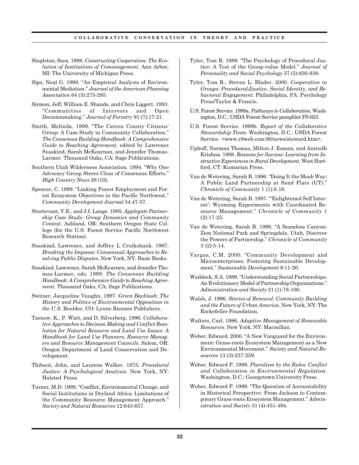- Singleton, Sara. 1998. *Constructing Cooperation: The Evolution of Institutions of Comanagement.* Ann Arbor, MI: The University of Michigan Press.
- Sipe, Neal G. 1998. "An Empirical Analysis of Environmental Mediation." *Journal of the American Planning Association* 64 (3):275-285.
- Sirmon, Jeff, William E. Shands, and Chris Liggett. 1993. "Communities of Interests and Open Decisionmaking." *Journal of Forestry* 91 (7):17-21.
- Smith, Melinda. 1999. "The Catron County Citizens' Group: A Case Study in Community Collaboration." *The Consensus Building Handbook: A Comprehensive Guide to Reaching Agreement*, edited by Lawrence Susskind, Sarah McKearnan, and Jennifer Thomas-Larmer. Thousand Oaks, CA: Sage Publications.
- Southern Utah Wilderness Association. 1994. "Why One Advocacy Group Steers Clear of Consensus Efforts." *High Country News* 26 (10).
- Spencer, C. 1999. "Linking Forest Employment and Forest Ecosystem Objectives in the Pacific Northwest." *Community Development Journal* 34:47-57.
- Sturtevant, V.E., and J.I. Lange. 1995. *Applegate Partnership Case Study: Group Dynamics and Community Context*. Ashland, OR: Southern Oregon State College (for the U.S. Forest Service Pacific Northwest Research Station).
- Susskind, Lawrence, and Jeffrey L Cruikshank. 1987. *Breaking the Impasse: Consensual Approaches to Resolving Public Disputes*. New York, NY: Basic Books.
- Susskind, Lawrence, Sarah McKearnen, and Jennifer Thomas-Larmer, eds. 1999. *The Consensus Building Handbook: A Comprehensive Guide to Reaching Agreement*. Thousand Oaks, CA: Sage Publications.
- Switzer, Jacqueline Vaughn. 1997. *Green Backlash: The History and Politics of Environmental Opposition in the U.S.* Boulder, CO: Lynne Rienner Publishers.
- Tarnow, K., P. Watt, and D. Silverberg. 1996. *Collaborative Approaches to Decision Making and Conflict Resolution for Natural Resource and Land Use Issues: A Handbook for Land Use Planners, Resource Managers and Resource Management Councils*. Salem, OR: Oregon Department of Land Conservation and Development.
- Thibaut, John, and Laurens Walker. 1975. *Procedural Justice: A Psychological Analysis*. New York, NY: Halsted Press.
- Turner, M.D. 1999. "Conflict, Environmental Change, and Social Institutions in Dryland Africa: Limitations of the Community Resource Management Approach." *Society and Natural Resources* 12:643-657.
- Tyler, Tom R. 1989. "The Psychology of Procedural Justice: A Test of the Group-value Model." *Journal of Personality and Social Psychology* 57 (5):830-838.
- Tyler, Tom R., Steven L. Blader. 2000. *Cooperation in Groups: ProceduralJjustice, Social Identity, and Behavioral Engagement*. Philadelphia, PA: Psychology Press/Taylor & Francis.
- U.S. Forest Service. 1998a. *Pathways to Collaboration*. Washington, D.C.: USDA Forest Service pamphlet FS-623.
- U.S. Forest Service. 1998b. *Report of the Collaborative Stewardship Team.* Washington, D.C.: USDA Forest Service. <www.r8web.com:80/news/steward.htm>.
- Uphoff, Norman Thomas, Milton J. Esman, and Anirudh Krishna. 1998. *Reasons for Success: Learning from Instructive Experiences in Rural Development*. West Hartford, CT: Kumarian Press.
- Van de Wetering, Sarah B. 1996. "Doing It the Moab Way: A Public Land Partnership at Sand Flats (UT)." *Chronicle of Community* 1 (1):5-16.
- Van de Wetering, Sarah B. 1997. "'Enlightened Self Interest': Wyoming Experiments with Coordinated Resource Management." *Chronicle of Community* 1 (2):17-25.
- Van de Wetering, Sarah B. 1999. "A Seamless Canyon: Zion National Park and Springdale, Utah, Discover the Powers of Partnership." *Chronicle of Community* 3 (2):5-14.
- Vargas, C.M. 2000. "Community Development and Microenterprises: Fostering Sustainable Development." *Sustainable Development* 8:11-26.
- Waddock, S.A. 1989. "Understanding Social Partnerships: An Evolutionary Model of Partnership Organizations." *Administration and Society* 21 (1):78-100.
- Walsh, J. 1996. *Stories of Renewal: Community Building and the Future of Urban America*. New York, NY: The Rockefeller Foundation.
- Walters, Carl. 1986. *Adaptive Management of Renewable Resources*. New York, NY: Macmillan.
- Weber, Edward. 2000. "A New Vanguard for the Environment: Grass-roots Ecosystem Management as a New Environmental Movement." *Society and Natural Resources* 13 (3):237-259.
- Weber, Edward P. 1998. *Pluralism by the Rules: Conflict and Collaboration in Environmental Regulation*. Washington, D.C.: Georgetown University Press.
- Weber, Edward P. 1999. "The Question of Accountability in Historical Perspective: From Jackson to Contemporary Grass-roots Ecosystem Management." *Administration and Society* 31 (4):451-494.